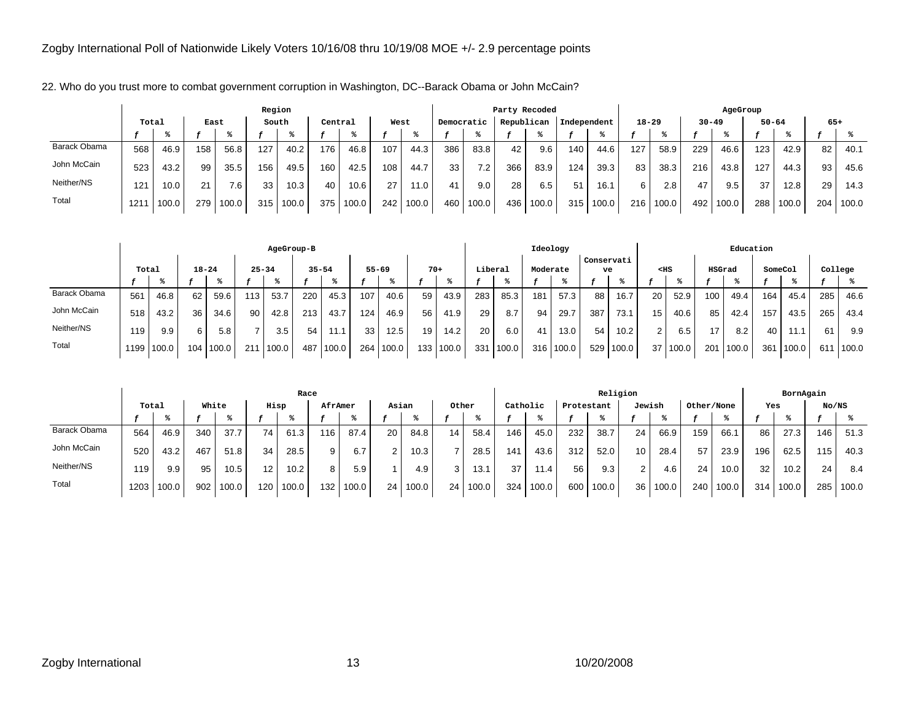|              |       |       |      |       | Region |       |         |       |      |       |            |       | Party Recoded |            |             |       |           |       |           | AgeGroup |           |       |       |       |
|--------------|-------|-------|------|-------|--------|-------|---------|-------|------|-------|------------|-------|---------------|------------|-------------|-------|-----------|-------|-----------|----------|-----------|-------|-------|-------|
|              | Total |       | East |       | South  |       | Central |       | West |       | Democratic |       |               | Republican | Independent |       | $18 - 29$ |       | $30 - 49$ |          | $50 - 64$ |       | $65+$ |       |
|              |       |       |      |       |        |       |         |       |      |       |            |       |               |            |             |       |           |       |           |          |           |       |       |       |
| Barack Obama | 568   | 46.9  | 158  | 56.8  | 127    | 40.2  | 176     | 46.8  | 107  | 44.3  | 386        | 83.8  | 42            | 9.6        | 140         | 44.6  | 127       | 58.9  | 229       | 46.6     | 123       | 42.9  | 82    | 40.1  |
| John McCain  | 523   | 43.2  | 99   | 35.5  | 156    | 49.5  | 160     | 42.5  | 108  | 44.7  | 33         | 7.2   | 366           | 83.9       | 124         | 39.3  | 83        | 38.3  | 216       | 43.8     | 127       | 44.3  | 93    | 45.6  |
| Neither/NS   | 121   | 10.0  | 21   | 7.6   | 33     | 10.3  | 40      | 10.6  | 27   | 1.0   |            | 9.0   | 28            | 6.5        | 51          | 16.1  | 6         | 2.8   | 47        | 9.5      | 37        | 12.8  | 29    | 14.3  |
| Total        | 1211  | 100.0 | 279  | 100.0 | 315    | 100.0 | 375     | 100.0 | 242  | 100.0 | 460        | 100.0 | 436           | 100.0      | 315         | 100.0 | 216       | 100.0 | 492       | 100.0    | 288       | 100.0 | 204   | 100.0 |

22. Who do you trust more to combat government corruption in Washington, DC--Barack Obama or John McCain?

|              |                    |       |     |       |           | AgeGroup-B |           |       |           |       |                  |       |         |       |                  | Ideology |            |       |    |        |        | Education |         |       |         |       |
|--------------|--------------------|-------|-----|-------|-----------|------------|-----------|-------|-----------|-------|------------------|-------|---------|-------|------------------|----------|------------|-------|----|--------|--------|-----------|---------|-------|---------|-------|
|              | $18 - 24$<br>Total |       |     |       | $25 - 34$ |            | $35 - 54$ |       | $55 - 69$ |       |                  | $70+$ | Liberal |       | Moderate         |          | Conservati | ve    |    | $<$ HS | HSGrad |           | SomeCol |       | College |       |
|              |                    |       |     |       |           |            |           |       |           |       |                  |       |         |       |                  |          |            |       |    |        |        |           |         |       |         |       |
| Barack Obama | 561                | 46.8  | 62  | 59.6  | 113       | 53.7       | 220       | 45.3  | 107       | 40.6  | 59               | 43.9  | 283     | 85.3  | 181              | 57.3     | 88         | 16.7  | 20 | 52.9   | 100.   | 49.4      | 164     | 45.4  | 285     | 46.6  |
| John McCain  | 518                | 43.2  | 36  | 34.6  | 90        | 42.8       | 213       | 43.7  | 124       | 46.9  | 56               | 41.9  | 29      | 8.7   | 94               | 29.7     | 387        | 73.1  | 15 | 40.6   | 85     | 42.4      | 157     | 43.5  | 265     | 43.4  |
| Neither/NS   | 119                | 9.9   | 6.  | 5.8   |           | 3.5        | 54'       | 11.1  | 33        | 12.5  | 19               | 14.2  | 20      | 6.0   | 41               | 13.0     | 54         | 10.2  |    | 6.5    | 17     | 8.2       | 40      | 11.1  | 61      | 9.9   |
| Total        | 1199 l             | 100.0 | 104 | 100.0 | 211       | 100.0      | 487       | 100.0 | 264       | 100.0 | 133 <sub>1</sub> | 100.0 | 331     | 100.0 | 316 <sub>1</sub> | 100.0    | 529        | 100.0 | 37 | 100.0  | 201    | 100.0     | 361     | 100.0 | 611     | 100.0 |

|              |       |       |       |       |                 | Race      |         |       |        |       |                 |       |          |       |            | Religion |        |       |            |       |     | BornAgain |       |       |
|--------------|-------|-------|-------|-------|-----------------|-----------|---------|-------|--------|-------|-----------------|-------|----------|-------|------------|----------|--------|-------|------------|-------|-----|-----------|-------|-------|
|              | Total |       | White |       | Hisp            |           | AfrAmer |       | Asian  |       | Other           |       | Catholic |       | Protestant |          | Jewish |       | Other/None |       | Yes |           | No/NS |       |
|              |       |       |       |       |                 |           |         |       |        |       |                 |       |          |       |            |          |        |       |            |       |     |           |       |       |
| Barack Obama | 564   | 46.9  | 340   | 37.7  | 74 <sub>1</sub> | 61.3      | 116     | 87.4  | 20     | 84.8  | 14 <sub>1</sub> | 58.4  | 146      | 45.0  | 232        | 38.7     | 24     | 66.9  | 159        | 66.1  | 86  | 27.3      | 146   | 51.3  |
| John McCain  | 520   | 43.2  | 467   | 51.8  | 34              | 28.5      |         | 6.7   | $\sim$ | 10.3  |                 | 28.5  | 141      | 43.6  | 312        | 52.0     | 10     | 28.4  | 57         | 23.9  | 196 | 62.5      | 115   | 40.3  |
| Neither/NS   | 119   | 9.9   | 95    | 10.5  | 12 <sub>1</sub> | 10.2      |         | 5.9   |        | 4.9   |                 | 13.1  | 37       | 11.4  | 56         | 9.3      | 2      | 4.6   | 24         | 10.0  | 32  | 10.2      | 24    | 8.4   |
| Total        | 1203  | 100.0 | 902   | 100.0 | 120             | $100.0$ . | 132     | 100.0 | 24     | 100.0 | 24              | 100.0 | 324      | 100.0 | 600        | 100.0    | 36     | 100.0 | 240        | 100.0 | 314 | 100.0     | 285   | 100.0 |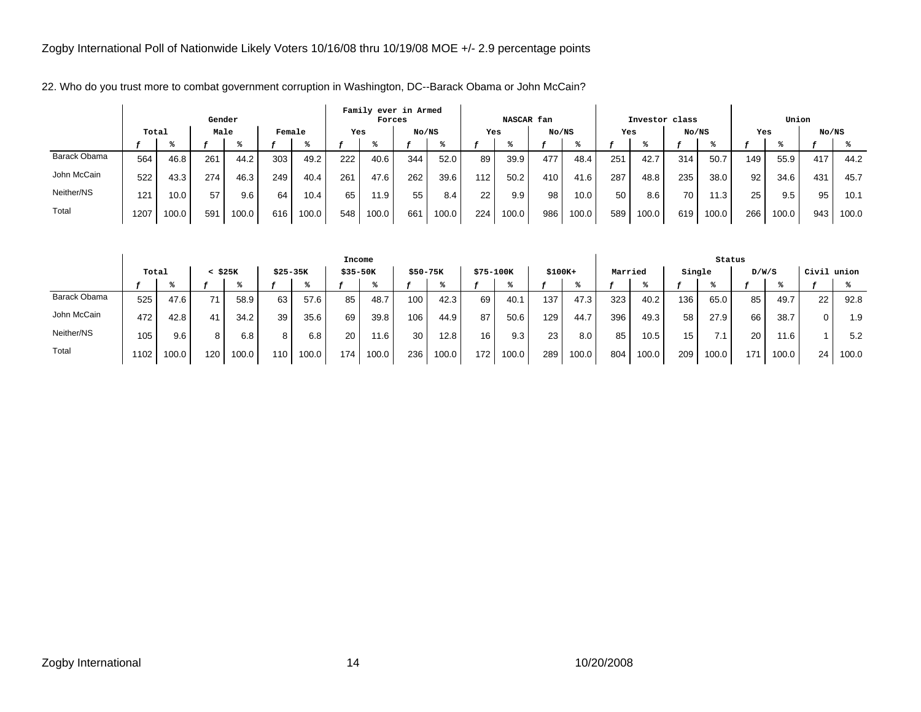|              |       |       | Gender |       |        |       |     | Family ever in Armed<br>Forces |       |       |     | NASCAR fan |       |       |     | Investor class |       |       |     | Union |       |       |
|--------------|-------|-------|--------|-------|--------|-------|-----|--------------------------------|-------|-------|-----|------------|-------|-------|-----|----------------|-------|-------|-----|-------|-------|-------|
|              | Total |       | Male   |       | Female |       | Yes |                                | No/NS |       | Yes |            | No/NS |       | Yes |                | No/NS |       | Yes |       | No/NS |       |
|              |       |       |        |       |        |       |     |                                |       |       |     |            |       |       |     |                |       |       |     |       |       |       |
| Barack Obama | 564   | 46.8  | 261    | 44.2  | 303    | 49.2  | 222 | 40.6                           | 344   | 52.0  | 89  | 39.9       | 477   | 48.4  | 251 | 42.7           | 314   | 50.7  | 149 | 55.9  | 417   | 44.2  |
| John McCain  | 522   | 43.3  | 274    | 46.3  | 249    | 40.4  | 261 | 47.6                           | 262   | 39.6  | 112 | 50.2       | 410   | 41.6  | 287 | 48.8           | 235   | 38.0  | 92  | 34.6  | 431   | 45.7  |
| Neither/NS   | 121   | 10.0  | 57     | 9.6   | 64     | 10.4  | 65  | 11.9                           | 55    | 8.4   | 22  | 9.9        | 98    | 10.0  | 50  | 8.6            | 70    | 1.3   | 25  | 9.5   | 95    | 10.1  |
| Total        | 1207  | 100.0 | 591    | 100.0 | 616    | 100.0 | 548 | 100.0                          | 661   | 100.0 | 224 | 100.0      | 986   | 100.0 | 589 | 100.0          | 619   | 100.0 | 266 | 100.0 | 943   | 100.0 |

22. Who do you trust more to combat government corruption in Washington, DC--Barack Obama or John McCain?

|              |       |       |     |         |           |       | Income    |       |          |       |           |       |          |       |         |       |        | Status |       |       |       |       |
|--------------|-------|-------|-----|---------|-----------|-------|-----------|-------|----------|-------|-----------|-------|----------|-------|---------|-------|--------|--------|-------|-------|-------|-------|
|              | Total |       |     | < \$25K | $$25-35K$ |       | $$35-50K$ |       | \$50-75K |       | \$75-100K |       | $$100K+$ |       | Married |       | Single |        | D/W/S |       | Civil | union |
|              |       |       |     |         |           |       |           |       |          |       |           |       |          |       |         |       |        |        |       |       |       |       |
| Barack Obama | 525   | 47.6  | 71  | 58.9    | 63        | 57.6  | 85        | 48.7  | 100      | 42.3  | 69        | 40.1  | 137      | 47.3  | 323     | 40.2  | 136    | 65.0   | 85    | 49.7  | 22    | 92.8  |
| John McCain  | 472   | 42.8  | 41  | 34.2    | 39        | 35.6  | 69        | 39.8  | 106      | 44.9  | 87        | 50.6  | 129      | 44.7  | 396     | 49.3  | 58     | 27.9   | 66    | 38.7  |       | 1.9   |
| Neither/NS   | 105   | 9.6   | 8   | 6.8     |           | 6.8   | 20        | 11.6  | 30       | 12.8  | 16        | 9.3   | 23       | 8.0   | 85      | 10.5  | 15     |        | 20    | 11.6  |       | 5.2   |
| Total        | 1102. | 100.0 | 120 | 100.0   | 110       | 100.0 | 174       | 100.0 | 236      | 100.0 | 172       | 100.0 | 289      | 100.0 | 804     | 100.0 | 209    | 100.0  | 171   | 100.0 | 24    | 100.0 |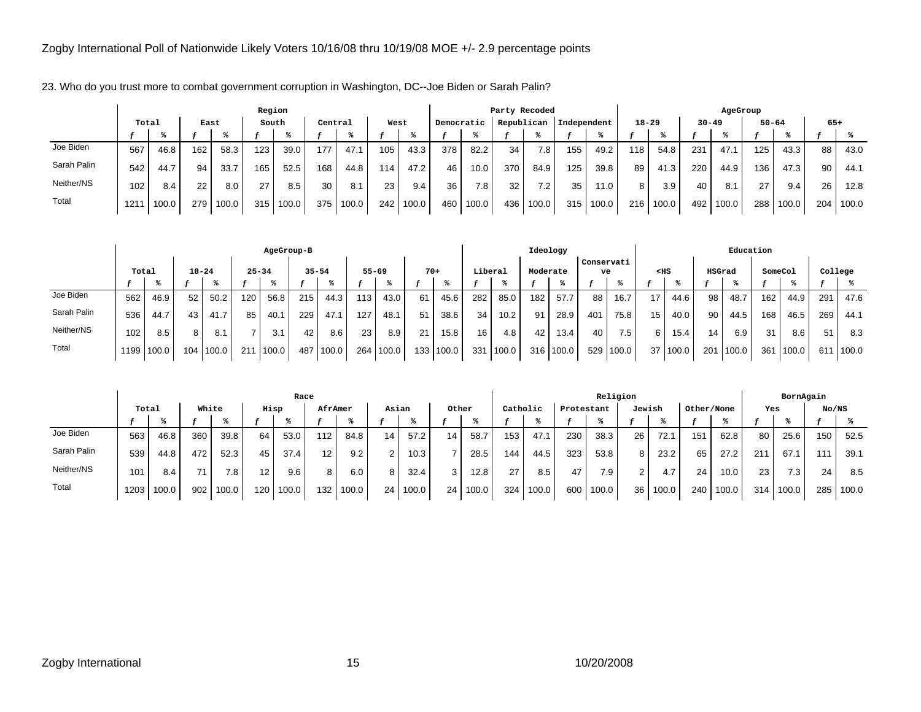|             |       |       |       |       | Region |       |         |       |      |       |            |       |                 | Party Recoded |             |       |           |       |           | AgeGroup |           |       |       |       |
|-------------|-------|-------|-------|-------|--------|-------|---------|-------|------|-------|------------|-------|-----------------|---------------|-------------|-------|-----------|-------|-----------|----------|-----------|-------|-------|-------|
|             | Total |       | East  |       |        | South | Central |       | West |       | Democratic |       |                 | Republican    | Independent |       | $18 - 29$ |       | $30 - 49$ |          | $50 - 64$ |       | $65+$ |       |
|             |       |       |       |       |        |       |         |       |      |       |            |       |                 |               |             |       |           |       |           |          |           |       |       |       |
| Joe Biden   | 567   | 46.8  | 162   | 58.3  | 123    | 39.0  | 177     | 47.1  | 105  | 43.3  | 378        | 82.2  | 34 <sub>1</sub> | 7.8           | 155         | 49.2  | 118       | 54.8  | 231       | 47.1     | 125       | 43.3  | 88    | 43.0  |
| Sarah Palin | 542   | 44.7  | 94    | 33.7  | 165    | 52.5  | 168     | 44.8  | 114  | 47.2  | 46         | 10.0  | 370             | 84.9          | 125         | 39.8  | 89        | 41.3  | 220       | 44.9     | 136       | 47.3  | 90    | 44.1  |
| Neither/NS  | 102   | 8.4   | 22    | 8.0   | 27     | 8.5   | 30      | 8.1   | 23   | 9.4   | 36         | 7.8   | 32              | 7.2           | 35          | 11.0  | 8         | 3.9   | 40        | 8.1      | 27        | 9.4   | 26    | 12.8  |
| Total       | 121   | 100.0 | 279 l | 100.0 | 315    | 100.0 | 375     | 100.0 | 242  | 100.0 | 460        | 100.0 | 436             | 100.0         | 315         | 100.0 | 216       | 100.0 | 492       | 100.0    | 288       | 100.0 | 204   | 100.0 |

23. Who do you trust more to combat government corruption in Washington, DC--Joe Biden or Sarah Palin?

|             |                    |            |    |           |           | AgeGroup-B |           |       |           |       |       |       |                 |       |          | Ideology  |                  |                  |                 |       |        | Education |         |       |     |         |
|-------------|--------------------|------------|----|-----------|-----------|------------|-----------|-------|-----------|-------|-------|-------|-----------------|-------|----------|-----------|------------------|------------------|-----------------|-------|--------|-----------|---------|-------|-----|---------|
|             | $18 - 24$<br>Total |            |    |           | $25 - 34$ |            | $35 - 54$ |       | $55 - 69$ |       | $70+$ |       | Liberal         |       | Moderate |           | Conservati<br>ve |                  | $<$ HS          |       | HSGrad |           | SomeCol |       |     | College |
|             |                    |            |    |           |           |            |           |       |           |       |       |       |                 |       |          |           |                  |                  |                 |       |        |           |         |       |     |         |
| Joe Biden   | 562                | 46.9       | 52 | 50.2      | 120       | 56.8       | 215       | 44.3  | 113       | 43.0  | 61    | 45.6  | 282             | 85.0  | 182      | 57.7      | 88               | 16.7             | 17              | 44.6  | 98     | 48.7      | 162     | 44.9  | 291 | 47.6    |
| Sarah Palin | 536                | 44.7       | 43 | 41.7      | 85        | 40.1       | 229       | 47.1  | 127       | 48.1  | 51    | 38.6  | 34              | 10.2  | 91       | 28.9      | 401              | 75.8             | 15              | 40.0  | 90     | 44.5      | 168     | 46.5  | 269 | 44.1    |
| Neither/NS  | 102                | 8.5        | 8  | 8.1       |           |            | 42        | 8.6   | 23        | 8.9   | 21    | 15.8  | 16 <sub>1</sub> | 4.8   | 42       | 13.4      | 40               | 7.5 <sub>1</sub> | 6               | 15.4  | 14     | 6.9       | 31      | 8.6   | 51  | 8.3     |
| Total       |                    | 1199 100.0 |    | 104 100.0 | 211       | 100.0      | 487       | 100.0 | 264       | 100.0 | 133   | 100.0 | 331             | 100.0 |          | 316 100.0 | 529              | 100.0            | 37 <sup>1</sup> | 100.0 | 201    | 100.0     | 361     | 100.0 | 611 | 100.0   |

|             |       |       |       |       |                 | Race            |         |       |       |       |       |       |          |       |            | Religion         |                 |       |            |       |     | BornAgain |       |       |
|-------------|-------|-------|-------|-------|-----------------|-----------------|---------|-------|-------|-------|-------|-------|----------|-------|------------|------------------|-----------------|-------|------------|-------|-----|-----------|-------|-------|
|             | Total |       | White |       | Hisp            |                 | AfrAmer |       | Asian |       | Other |       | Catholic |       | Protestant |                  | Jewish          |       | Other/None |       | Yes |           | No/NS |       |
|             |       |       |       |       |                 |                 |         |       |       |       |       |       |          |       |            |                  |                 |       |            |       |     |           |       |       |
| Joe Biden   | 563   | 46.8  | 360   | 39.8  | 64              | 53 <sub>0</sub> | 112     | 84.8  | 14    | 57.2  | 14.   | 58.7  | 153      | 47.1  | 230        | 38.3             | 26              | 72.1  | 151        | 62.8  | 80  | 25.6      | 150   | 52.5  |
| Sarah Palin | 539   | 44.8  | 472   | 52.3  | 45              | 37.4            | 12      | 9.2   | C     | 10.3  |       | 28.5  | 144      | 44.5  | 323        | 53.8             | 8               | 23.2  | 65         | 27.2  | 211 | 67.       |       | 39.1  |
| Neither/NS  | 101   | 8.4   | 71    | 7.8   | 12 <sup>°</sup> | 9.6             | 8       | 6.0   | 8     | 32.4  | 3     | 12.8  | 27       | 8.5   | 47         | 7.9 <sub>1</sub> | $\mathcal{L}$   | 4.7   | 24         | 10.0  | 23  | 7.3       | 24    | 8.5   |
| Total       | 1203  | 100.0 | 902   | 100.0 | 120             | 100.0           | 132     | 100.0 | 24 I  | 100.0 | 24    | 100.0 | 324      | 100.0 | 600        | 100.0            | 36 <sub>1</sub> | 100.0 | 240        | 100.0 | 314 | 100.0     | 285   | 100.0 |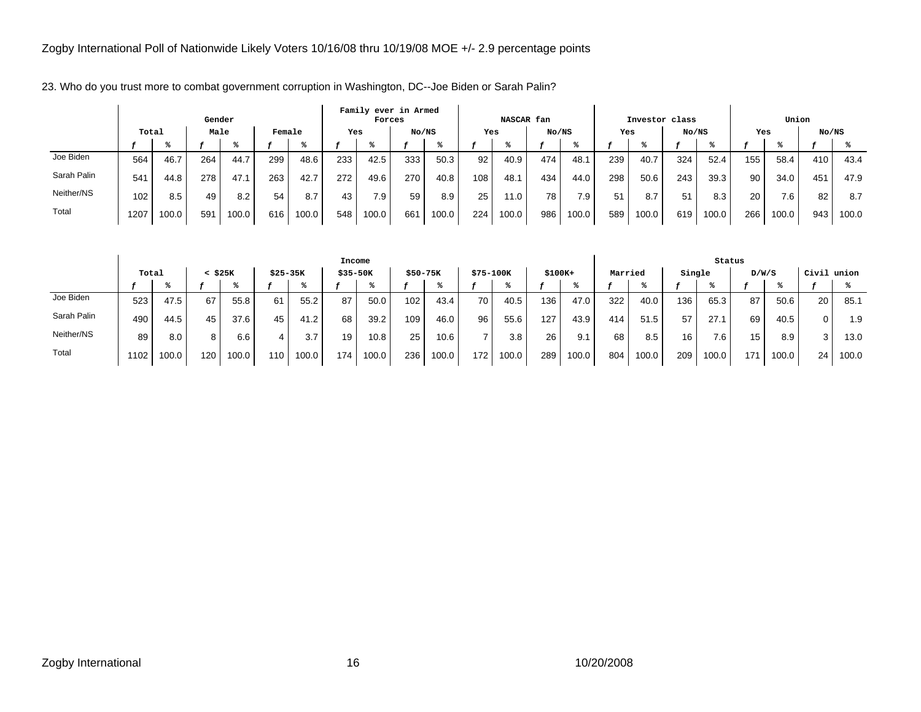|             |       |       | Gender |       |        |       |     | Family ever in Armed<br>Forces |       |       |     | NASCAR fan |       |       |     | Investor class |       |       |     | Union |                 |       |
|-------------|-------|-------|--------|-------|--------|-------|-----|--------------------------------|-------|-------|-----|------------|-------|-------|-----|----------------|-------|-------|-----|-------|-----------------|-------|
|             | Total |       | Male   |       | Female |       | Yes |                                | No/NS |       | Yes |            | No/NS |       | Yes |                | No/NS |       | Yes |       | No/NS           |       |
|             |       |       |        |       |        |       |     |                                |       |       |     |            |       |       |     |                |       |       |     |       |                 |       |
| Joe Biden   | 564   | 46.7  | 264    | 44.7  | 299    | 48.6  | 233 | 42.5                           | 333   | 50.3  | 92  | 40.9       | 474   | 48.1  | 239 | 40.7           | 324   | 52.4  | 155 | 58.4  | 410             | 43.4  |
| Sarah Palin | 541   | 44.8  | 278    | 47.1  | 263    | 42.7  | 272 | 49.6                           | 270   | 40.8  | 108 | 48.1       | 434   | 44.0  | 298 | 50.6           | 243   | 39.3  | 90  | 34.0  | 45 <sup>°</sup> | 47.9  |
| Neither/NS  | 102   | 8.5   | 49     | 8.2   | 54     | 8.7   | 43  | 7.9                            | 59    | 8.9   | 25  | 11.0       | 78    | 7.9.  | 51  | 8.7            | 51    | 8.3   | 20  | 7.6   | 82              | 8.7   |
| Total       | 1207  | 100.0 | 59'    | 100.0 | 616    | 100.0 | 548 | 100.0                          | 661   | 100.0 | 224 | 100.0      | 986   | 100.0 | 589 | 100.0          | 619   | 100.0 | 266 | 100.0 | 943             | 100.0 |

23. Who do you trust more to combat government corruption in Washington, DC--Joe Biden or Sarah Palin?

|             |       |       |     |       |           |       | Income   |       |          |       |           |       |          |       |         |       |        | Status |       |       |             |       |
|-------------|-------|-------|-----|-------|-----------|-------|----------|-------|----------|-------|-----------|-------|----------|-------|---------|-------|--------|--------|-------|-------|-------------|-------|
|             | Total |       |     | \$25K | $$25-35K$ |       | \$35-50K |       | \$50-75K |       | \$75-100K |       | $$100K+$ |       | Married |       | Single |        | D/W/S |       | Civil union |       |
|             |       |       |     |       |           |       |          |       |          |       |           |       |          |       |         |       |        |        |       |       |             |       |
| Joe Biden   | 523   | 47.5  | 67  | 55.8  | 61        | 55.2  | 87       | 50.0  | 102      | 43.4  | 70        | 40.5  | 136      | 47.0  | 322     | 40.0  | 136    | 65.3   | 87    | 50.6  | 20          | 85.1  |
| Sarah Palin | 490   | 44.5  | 45  | 37.6  | 45        | 41.2  | 68       | 39.2  | 109      | 46.0  | 96        | 55.6  | 127      | 43.9  | 414     | 51.5  | 57     | 27.7   | 69    | 40.5  | 0           | 1.9   |
| Neither/NS  | 89    | 8.0   |     | 6.6   |           | 3.7   | 19       | 10.8  | 25       | 10.6  |           | 3.8   | 26       | 9.1   | 68      | 8.5   | 16     | 7.6    | 15    | 8.9   |             | 13.0  |
| Total       | 102   | 100.0 | 120 | 100.0 | 110       | 100.0 | 174      | 100.0 | 236      | 100.0 | 172       | 100.0 | 289      | 100.0 | 804     | 100.0 | 209    | 100.0  | 171   | 100.0 | 24          | 100.0 |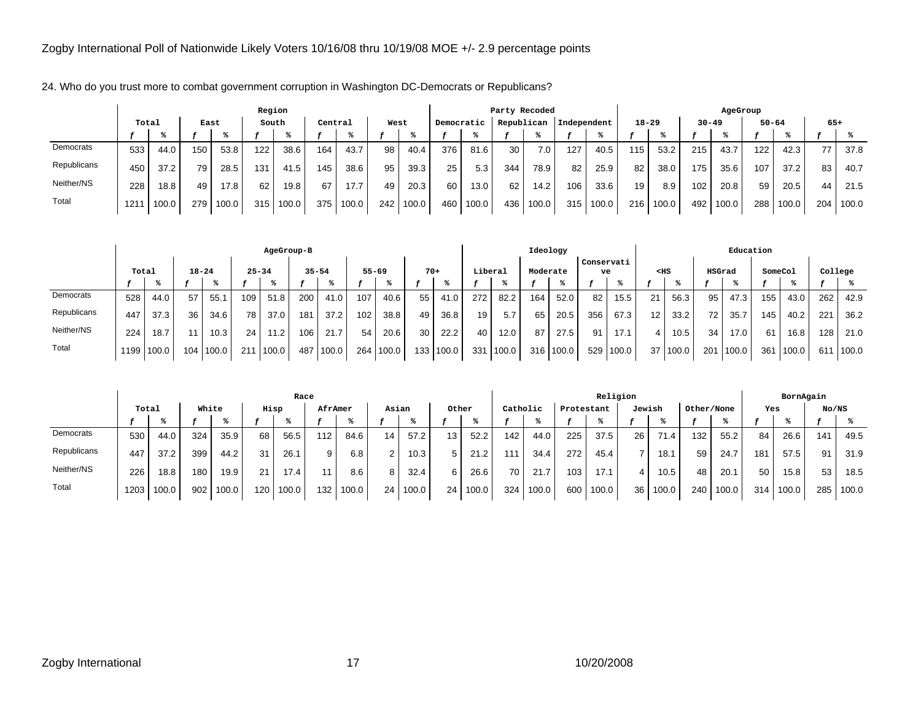24. Who do you trust more to combat government corruption in Washington DC-Democrats or Republicans?

|             |       |       |      |       | Region |       |         |       |      |       |            |       |     | Party Recoded |     |             |           |       |           | AgeGroup |           |       |       |       |
|-------------|-------|-------|------|-------|--------|-------|---------|-------|------|-------|------------|-------|-----|---------------|-----|-------------|-----------|-------|-----------|----------|-----------|-------|-------|-------|
|             | Total |       | East |       | South  |       | Central |       | West |       | Democratic |       |     | Republican    |     | Independent | $18 - 29$ |       | $30 - 49$ |          | $50 - 64$ |       | $65+$ |       |
|             |       |       |      |       |        |       |         |       |      |       |            |       |     |               |     |             |           |       |           |          |           |       |       |       |
| Democrats   | 533   | 44.0  | 150  | 53.8  | 122    | 38.6  | 164     | 43.7  | 98   | 40.4  | 376        | 81.6  | 30  | 7.0           | 127 | 40.5        | 115       | 53.2  | 215       | 43.7     | 122       | 42.3  | 77    | 37.8  |
| Republicans | 450   | 37.2  | 79   | 28.5  | 131    | 41.5  | 145     | 38.6  | 95   | 39.3  | 25         | 5.3   | 344 | 78.9          | 82  | 25.9        | 82        | 38.0  | 175       | 35.6     | 107       | 37.2  | 83    | 40.7  |
| Neither/NS  | 228   | 18.8  | 49   | 17.8  | 62     | 19.8  | 67      | 17.7  | 49   | 20.3  | 60         | 13.0  | 62  | 14.2          | 106 | 33.6        | 19        | 8.9   | 102       | 20.8     | 59        | 20.5  | 44    | 21.5  |
| Total       | 121   | 100.0 | 279  | 100.0 | 315    | 100.0 | 375     | 100.0 | 242  | 100.0 | 460        | 100.0 | 436 | 100.0         | 315 | 100.0       | 216       | 100.0 | 492       | 100.0    | 288       | 100.0 | 204   | 100.0 |

|             |                    |            |     |       |           | AgeGroup-B |           |       |     |           |       |       |         |       | Ideology |       |                  |       |        |       |        | Education |         |       |         |       |
|-------------|--------------------|------------|-----|-------|-----------|------------|-----------|-------|-----|-----------|-------|-------|---------|-------|----------|-------|------------------|-------|--------|-------|--------|-----------|---------|-------|---------|-------|
|             | Total<br>$18 - 24$ |            |     |       | $25 - 34$ |            | $35 - 54$ |       |     | $55 - 69$ | $70+$ |       | Liberal |       | Moderate |       | Conservati<br>ve |       | $<$ HS |       | HSGrad |           | SomeCol |       | College |       |
|             |                    |            |     |       |           |            |           |       |     |           |       |       |         |       |          |       |                  |       |        |       |        |           |         |       |         |       |
| Democrats   | 528                | 44.0       | 57  | 55.1  | 109       | 51.8       | 200       | 41.0  | 107 | 40.6      | 55    | 41.0  | 272     | 82.2  | 164      | 52.0  | 82               | 15.5  | 21     | 56.3  | 95     | 47.3      | 155     | 43.0  | 262     | 42.9  |
| Republicans | 447                | 37.3       | 36  | 34.6  | 78        | 37.0       | 181       | 37.2  | 102 | 38.8      | 49    | 36.8  | 19      | 5.7   | 65       | 20.5  | 356              | 67.3  | 12     | 33.2  | 72     | 35.7      | 145     | 40.2  | 221     | 36.2  |
| Neither/NS  | 224                | 18.7       | 11  | 10.3  | 24        | 11.2       | 106       | 21.7  | 54  | 20.6      | 30    | 22.2  | 40      | 12.0  | 87       | 27.5  | 91               | 17.1  |        | 10.5  | 34     | 17.0      | 61      | 16.8  | 128     | 21.0  |
| Total       |                    | 1199 100.0 | 104 | 100.0 | 211       | 1100.0     | 487       | 100.0 | 264 | 100.0     | 133   | 100.0 | 331     | 100.0 | 316      | 100.0 | 529 <sub>1</sub> | 100.0 | 37     | 100.0 | 201    | 100.0     | 361     | 100.0 | 611     | 100.0 |

|             |       |       |       |                   |      | Race  |         |       |                 |       |       |       |          |       |            | Religion |                 |       |            |       |     | BornAgain |       |       |
|-------------|-------|-------|-------|-------------------|------|-------|---------|-------|-----------------|-------|-------|-------|----------|-------|------------|----------|-----------------|-------|------------|-------|-----|-----------|-------|-------|
|             | Total |       | White |                   | Hisp |       | AfrAmer |       | Asian           |       | Other |       | Catholic |       | Protestant |          | Jewish          |       | Other/None |       | Yes |           | No/NS |       |
|             |       |       |       |                   |      |       |         |       |                 |       |       |       |          |       |            |          |                 |       |            |       |     |           |       |       |
| Democrats   | 530   | 44.0  | 324   | 35.9              | 68   | 56.5  | 112     | 84.6  | 14              | 57.2  | 13    | 52.2  | 142      | 44.0  | 225        | 37.5     | 26              | 71.4  | 132        | 55.2  | 84  | 26.6      | 141   | 49.5  |
| Republicans | 447   | 37.2  | 399   | 44.2              | 31   | 26.1  | 9       | 6.8   | ົ               | 10.3  | 5     | 21.2  | 111      | 34.4  | 272        | 45.4     |                 | 18.1  | 59         | 24.7  | 181 | 57.5      | 91    | 31.9  |
| Neither/NS  | 226   | 18.8  | 180   | 19.9 <sub>1</sub> | 21   | 17.4  |         | 8.6   | 8               | 32.4  | 6     | 26.6  | 70       | 21.7  | 103        | 17.1     | 4               | 10.5  | 48         | 20.1  | 50  | 15.8      | 53    | 18.5  |
| Total       | 1203  | 100.0 | 902   | 100.0             | 120  | 100.0 | 132     | 100.0 | 24 <sub>1</sub> | 100.0 | 24    | 100.0 | 324      | 100.0 | 600        | 100.0    | 36 <sub>1</sub> | 100.0 | 240        | 100.0 | 314 | 100.0     | 285   | 100.0 |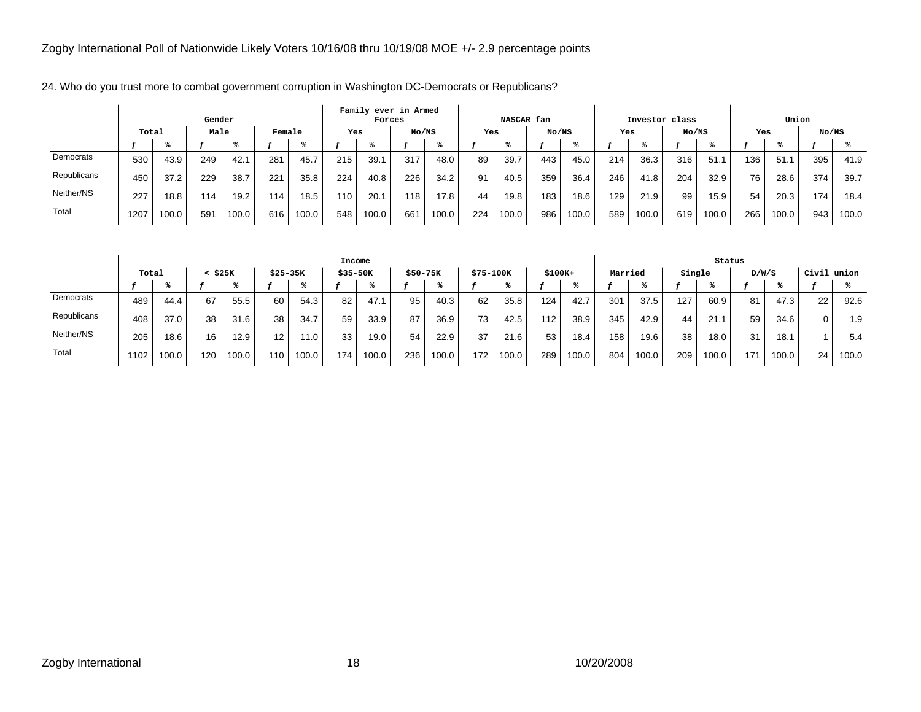|             |       |       | Gender |       |        |       |     | Family ever in Armed<br>Forces |       |       |     | NASCAR fan |       |       |     | Investor class |       |       |     | Union |       |       |
|-------------|-------|-------|--------|-------|--------|-------|-----|--------------------------------|-------|-------|-----|------------|-------|-------|-----|----------------|-------|-------|-----|-------|-------|-------|
|             | Total |       | Male   |       | Female |       | Yes |                                | No/NS |       | Yes |            | No/NS |       | Yes |                | No/NS |       | Yes |       | No/NS |       |
|             |       |       |        |       |        |       |     |                                |       |       |     |            |       |       |     |                |       |       |     |       |       |       |
| Democrats   | 530   | 43.9  | 249    | 42.7  | 281    | 45.7  | 215 | 39.1                           | 317   | 48.0  | 89  | 39.7       | 443   | 45.0  | 214 | 36.3           | 316   | 51.   | 136 | 51.1  | 395   | 41.9  |
| Republicans | 450   | 37.2  | 229    | 38.7  | 221    | 35.8  | 224 | 40.8                           | 226   | 34.2  | 91  | 40.5       | 359   | 36.4  | 246 | 41.8           | 204   | 32.9  | 76  | 28.6  | 374   | 39.7  |
| Neither/NS  | 227   | 18.8  | 114.   | 19.2  | 114    | 18.5  | 110 | 20.7                           | 118   | 17.8  | 44  | 19.8       | 183   | 18.6  | 129 | 21.9           | 99    | 15.9  | 54  | 20.3  | 174   | 18.4  |
| Total       | 1207  | 100.0 | 59'    | 100.0 | 616    | 100.0 | 548 | 100.0                          | 661   | 100.0 | 224 | 100.0      | 986   | 100.0 | 589 | 100.0          | 619   | 100.0 | 266 | 100.0 | 943   | 100.0 |

24. Who do you trust more to combat government corruption in Washington DC-Democrats or Republicans?

|             |       |       |     |       |           |       | Income   |       |           |       |           |       |          |       |         |                   |        | Status |       |       |       |       |
|-------------|-------|-------|-----|-------|-----------|-------|----------|-------|-----------|-------|-----------|-------|----------|-------|---------|-------------------|--------|--------|-------|-------|-------|-------|
|             | Total |       |     | \$25K | $$25-35K$ |       | \$35-50K |       | $$50-75K$ |       | \$75-100K |       | $$100K+$ |       | Married |                   | Single |        | D/W/S |       | Civil | union |
|             |       |       |     |       |           |       |          |       |           |       |           |       |          |       |         |                   |        |        |       |       |       |       |
| Democrats   | 489   | 44.4  | 67  | 55.5  | 60        | 54.3  | 82       | 47.1  | 95        | 40.3  | 62        | 35.8  | 124      | 42.7  | 301     | 37.5              | 127    | 60.9   | 81    | 47.3  | 22    | 92.6  |
| Republicans | 408   | 37.0  | 38  | 31.6  | 38        | 34.7  | 59       | 33.9  | 87        | 36.9  | 73        | 42.5  | 112      | 38.9  | 345     | 42.9              | 44     | 21.1   | 59    | 34.6  |       | 1.9   |
| Neither/NS  | 205   | 18.6  | 16  | 12.9  | 12.       | 11.0  | 33       | 19.0  | 54        | 22.9  | 37        | 21.6  | 53       | 18.4  | 158     | 19.6 <sub>1</sub> | 38     | 18.0   | 31    | 18.1  |       | 5.4   |
| Total       | 1102  | 100.0 | 120 | 100.0 | 110       | 100.0 | 174      | 100.0 | 236       | 100.0 | 172       | 100.0 | 289      | 100.0 | 804     | 100.0             | 209    | 100.0  | 171   | 100.0 | 24    | 100.0 |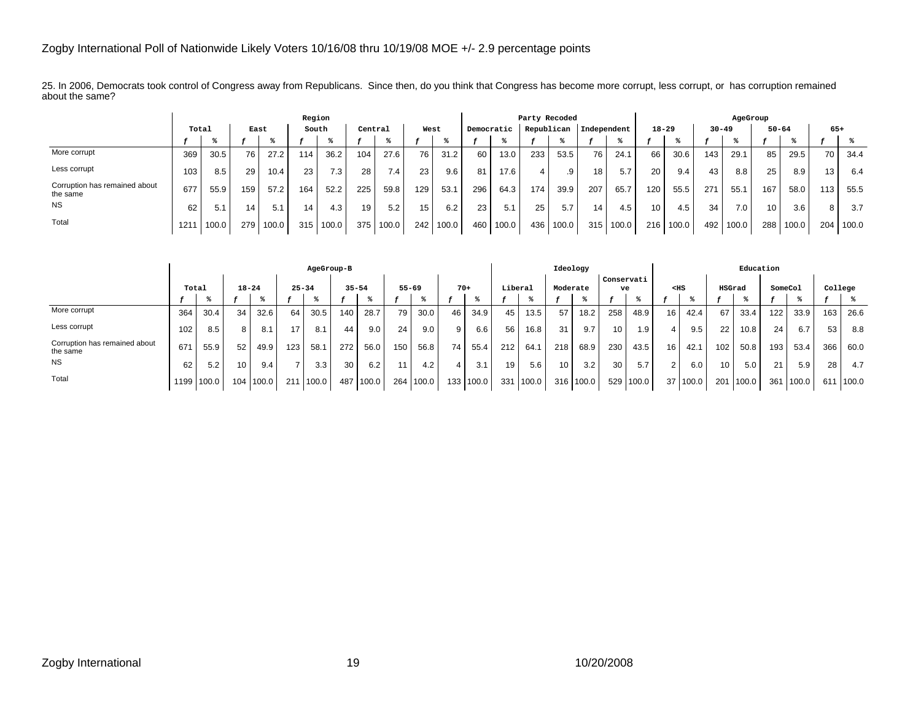25. In 2006, Democrats took control of Congress away from Republicans. Since then, do you think that Congress has become more corrupt, less corrupt, or has corruption remained about the same?

|                                           |       |       |                 |       | Region |       |         |       |      |       |            |       | Party Recoded |       |             |       |           |       |           | AgeGroup         |           |       |                 |       |
|-------------------------------------------|-------|-------|-----------------|-------|--------|-------|---------|-------|------|-------|------------|-------|---------------|-------|-------------|-------|-----------|-------|-----------|------------------|-----------|-------|-----------------|-------|
|                                           | Total |       | East            |       | South  |       | Central |       | West |       | Democratic |       | Republican    |       | Independent |       | $18 - 29$ |       | $30 - 49$ |                  | $50 - 64$ |       | $65+$           |       |
|                                           |       |       |                 |       |        |       |         |       |      |       |            |       |               |       |             |       |           |       |           |                  |           |       |                 |       |
| More corrupt                              | 369   | 30.5  | 76              | 27.2  | 114.   | 36.2  | 104     | 27.6  | 76   | 31.2  | 60         | 13.0  | 233           | 53.5  | 76          | 24.1  | 66        | 30.6  | 143.      | 29.1             | 85        | 29.5  | 70              | 34.4  |
| Less corrupt                              | 103   | 8.5   | 29              | 10.4  | 23     | 7.3   | 28      | 7.4.  | 23   | 9.6   | 81         | 17.6  |               | .9    | 18          | 5.7   | 20        | 9.4   | 43        | 8.8              | 25        | 8.9   | 13 <sub>1</sub> | 6.4   |
| Corruption has remained about<br>the same | 677   | 55.9  | 159             | 57.2  | 164    | 52.2  | 225     | 59.8  | 129  | 53.1  | 296        | 64.3  | 174           | 39.9  | 207         | 65.7  | 120       | 55.5  | 271       | 55.1             | 167       | 58.0  | 113.            | 55.5  |
| <b>NS</b>                                 | 62    | 5.1   | 14 <sub>1</sub> | 5.1   | 14     | 4.3   | 19      | 5.2   | 15   | 6.2   | 23         | 5.1   | 25            | 5.7   | 14          | 4.5   | 10        | 4.5   | 34        | 7.0 <sub>1</sub> | 10        | 3.6   | 8               | 3.7   |
| Total                                     | 1211  | 100.0 | 279             | 100.0 | 315    | 100.0 | 375     | 100.0 | 242  | 100.0 | 460        | 100.0 | 436           | 100.0 | 315         | 100.0 | 216       | 100.0 | 492 l     | 100.0            | 288       | 100.0 | 204             | 100.0 |

|                                           |       |            |                 |           |           | AgeGroup-B |           |       |           |       |                 |       |         |       |     | Ideology |                  |       |                 |          |        | Education |         |       |         |       |
|-------------------------------------------|-------|------------|-----------------|-----------|-----------|------------|-----------|-------|-----------|-------|-----------------|-------|---------|-------|-----|----------|------------------|-------|-----------------|----------|--------|-----------|---------|-------|---------|-------|
|                                           | Total |            |                 | $18 - 24$ | $25 - 34$ |            | $35 - 54$ |       | $55 - 69$ |       | $70+$           |       | Liberal |       |     | Moderate | Conservati<br>ve |       |                 | $<$ HS   | HSGrad |           | SomeCol |       | College |       |
|                                           |       |            |                 |           |           |            |           |       |           |       |                 |       |         |       |     |          |                  |       |                 |          |        |           |         |       |         |       |
| More corrupt                              | 364   | 30.4       | 34              | 32.6      | 64        | 30.5       | 140       | 28.7  | 79        | 30.0  | 46              | 34.9  | 45      | 13.5  | 57  | 18.2     | 258              | 48.9  | 16 <sub>1</sub> | 42.4     | 67     | 33.4      | 122     | 33.9  | 163     | 26.6  |
| Less corrupt                              | 102   | 8.5        | 8               | 8.1       | 17        | 8.1        | 44        | 9.0   | 24        | 9.0   | 9               | 6.6   | 56      | 16.8  | 31  | 9.7      | 10               | 1.9   |                 | 9.5      | 22     | 10.8      | 24      | 6.7   | 53      | 8.8   |
| Corruption has remained about<br>the same | 671   | 55.9       | 52              | 49.9      | 123       | 58.1       | 272       | 56.0  | 150       | 56.8  | 74 <sub>1</sub> | 55.4  | 212     | 64.1  | 218 | 68.9     | 230              | 43.5  | 16              | 42.1     | 102    | 50.8      | 193     | 53.4  | 366     | 60.0  |
| <b>NS</b>                                 | 62    | 5.2        | 10 <sub>1</sub> | 9.4       |           | 3.3        | 30        | 6.2   | 11        | 4.2   | 4               | 3.1   | 19      | 5.6   | 10  | 3.2      | 30               | 5.7   | ົ               | 6.0      | 10     | 5.0       | 21      | 5.9   | 28      | 4.7   |
| Total                                     |       | 1199 100.0 | 104             | 100.0     | 211       | 100.0      | 487       | 100.0 | 264       | 100.0 | 133             | 100.0 | 331     | 100.0 | 316 | 100.0    | 529              | 100.0 |                 | 37 100.0 | 201    | 100.0     | 361     | 100.0 | 61'     | 100.0 |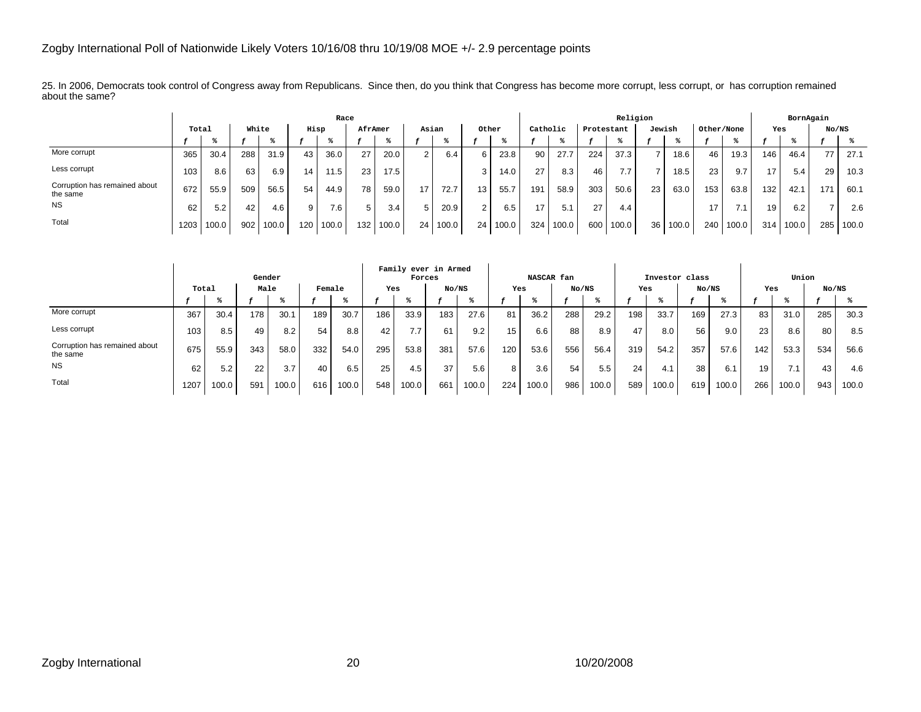25. In 2006, Democrats took control of Congress away from Republicans. Since then, do you think that Congress has become more corrupt, less corrupt, or has corruption remained about the same?

|                                           |       |       |     |       |      | Race  |         |       |       |       |       |       |          |       |            | Religion |        |       |            |       |     | BornAgain |       |       |
|-------------------------------------------|-------|-------|-----|-------|------|-------|---------|-------|-------|-------|-------|-------|----------|-------|------------|----------|--------|-------|------------|-------|-----|-----------|-------|-------|
|                                           | Total |       |     | White | Hisp |       | AfrAmer |       | Asian |       | Other |       | Catholic |       | Protestant |          | Jewish |       | Other/None |       | Yes |           | No/NS |       |
|                                           |       |       |     |       |      |       |         |       |       |       |       |       |          |       |            |          |        |       |            |       |     |           |       |       |
| More corrupt                              | 365   | 30.4  | 288 | 31.9  | 43   | 36.0  | 27      | 20.0  | 2     | 6.4   | 6.    | 23.8  | 90       | 27.7  | 224        | 37.3     |        | 18.6  | 46         | 19.3  | 146 | 46.4      | 77    | 27.1  |
| Less corrupt                              | 103   | 8.6   | 63  | 6.9   | 14   | 11.5  | 23      | 17.5  |       |       |       | 14.0  | 27       | 8.3   | 46         | 7.7      |        | 18.5  | 23         | 9.7   | 17  | 5.4       | 29    | 10.3  |
| Corruption has remained about<br>the same | 672   | 55.9  | 509 | 56.5  | 54   | 44.9  | 78      | 59.0  | 17    | 72.7  | 13    | 55.7  | 191      | 58.9  | 303        | 50.6     | 23     | 63.0  | 153        | 63.8  | 132 | 42.1      | 171   | 60.1  |
| <b>NS</b>                                 | 62    | 5.2   | 42  | 4.6   | 9    | 7.6   |         | 3.4   |       | 20.9  |       | 6.5   | 17       | 5.1   | 27         | 4.4      |        |       | 17         | 7.1   | 19  | 6.2       |       | 2.6   |
| Total                                     | 1203  | 100.0 | 902 | 100.0 | 120  | 100.0 | 132     | 100.0 | 24    | 100.0 | 24    | 100.0 | 324      | 100.0 | 600        | 100.0    | 36     | 100.0 | 240        | 100.0 | 314 | 100.0     | 285   | 100.0 |

|                                           |       |       | Gender |       |        |       |     | Forces                          | Family ever in Armed |       |     | NASCAR fan |       |       |     | Investor class |       |       |     | Union |       |       |
|-------------------------------------------|-------|-------|--------|-------|--------|-------|-----|---------------------------------|----------------------|-------|-----|------------|-------|-------|-----|----------------|-------|-------|-----|-------|-------|-------|
|                                           | Total |       | Male   |       | Female |       | Yes |                                 | No/NS                |       | Yes |            | No/NS |       | Yes |                | No/NS |       | Yes |       | No/NS |       |
|                                           |       |       |        |       |        |       |     |                                 |                      |       |     |            |       |       |     |                |       |       |     |       |       |       |
| More corrupt                              | 367   | 30.4  | 178    | 30.1  | 189    | 30.7  | 186 | 33.9                            | 183                  | 27.6  | 81  | 36.2       | 288   | 29.2  | 198 | 33.7           | 169   | 27.3  | 83  | 31.0  | 285   | 30.3  |
| Less corrupt                              | 103   | 8.5   | 49     | 8.2   | 54     | 8.8   | 42  | 77<br>$^{\prime}$ . $^{\prime}$ | 61                   | 9.2   | 15  | 6.6        | 88    | 8.9   | 47  | 8.0            | 56    | 9.0   | 23  | 8.6   | 80    | 8.5   |
| Corruption has remained about<br>the same | 675   | 55.9  | 343    | 58.0  | 332    | 54.0  | 295 | 53.8                            | 381                  | 57.6  | 120 | 53.6       | 556   | 56.4  | 319 | 54.2           | 357   | 57.6  | 142 | 53.3  | 534   | 56.6  |
| <b>NS</b>                                 | 62    | 5.2   | 22     | 3.7   | 40     | 6.5   | 25  | 4.5                             | 37                   | 5.6   | 8   | 3.6        | 54    | 5.5   | 24  | 4.1            | 38    | 6.1   | 19  | 7.1   | 43    | 4.6   |
| Total                                     | 1207  | 100.0 | 591    | 100.0 | 616    | 100.0 | 548 | 100.0                           | 661                  | 100.0 | 224 | 100.0      | 986   | 100.0 | 589 | 100.0          | 619   | 100.0 | 266 | 100.0 | 943   | 100.0 |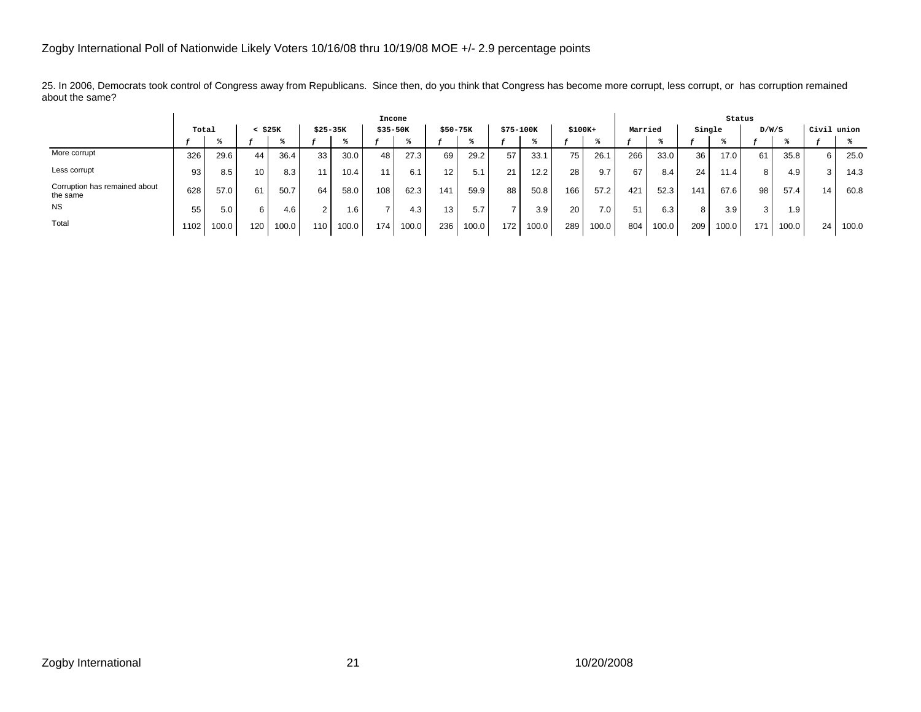25. In 2006, Democrats took control of Congress away from Republicans. Since then, do you think that Congress has become more corrupt, less corrupt, or has corruption remained about the same?

|                                           |       |       |                 |       |                |       | Income      |       |                 |       |           |       |          |                  |         |       |        | Status |       |       |             |       |
|-------------------------------------------|-------|-------|-----------------|-------|----------------|-------|-------------|-------|-----------------|-------|-----------|-------|----------|------------------|---------|-------|--------|--------|-------|-------|-------------|-------|
|                                           | Total |       | $<$ \$25 $K$    |       | $$25-35K$      |       | $$35 - 50K$ |       | $$50-75K$       |       | \$75-100K |       | $$100K+$ |                  | Married |       | Single |        | D/W/S |       | Civil union |       |
|                                           |       |       |                 |       |                |       |             |       |                 |       |           |       |          |                  |         |       |        |        |       |       |             |       |
| More corrupt                              | 326   | 29.6  | 44              | 36.4  | 33             | 30.0  | 48          | 27.3  | 69              | 29.2  | 57        | 33.1  | 75       | 26.1             | 266     | 33.0  | 36     | 17.01  | 61    | 35.8  | 6           | 25.0  |
| Less corrupt                              | 93    | 8.5   | 10 <sup>1</sup> | 8.3   | 11.            | 10.4  | 11          | 6.1   | 12 <sub>1</sub> | 5.1   | 21        | 12.2  | 28       | 9.7              | 67      | 8.4   | 24     | 11.4   |       | 4.9   | 3           | 14.3  |
| Corruption has remained about<br>the same | 628   | 57.0  | 61              | 50.7  | 64             | 58.0  | 108         | 62.3  | 141             | 59.9  | 88        | 50.8  | 166      | 57.2             | 421     | 52.3  | 141    | 67.6   | 98    | 57.4  | 14          | 60.8  |
| <b>NS</b>                                 | 55    | 5.0   | 6 I             | 4.6   | $\overline{2}$ | . 6   |             | 4.3   | 13.             | 5.7   |           | 3.9   | 20       | 7.0 <sub>1</sub> | 51      | 6.3   | 8 I    | 3.9    |       | 1.9   |             |       |
| Total                                     | 1102  | 100.0 | 120             | 100.0 | 110            | 100.0 | 174         | 100.0 | 236             | 100.0 | 172       | 100.0 | 289      | 100.0            | 804     | 100.0 | 209    | 100.0  | 171   | 100.0 | 24          | 100.0 |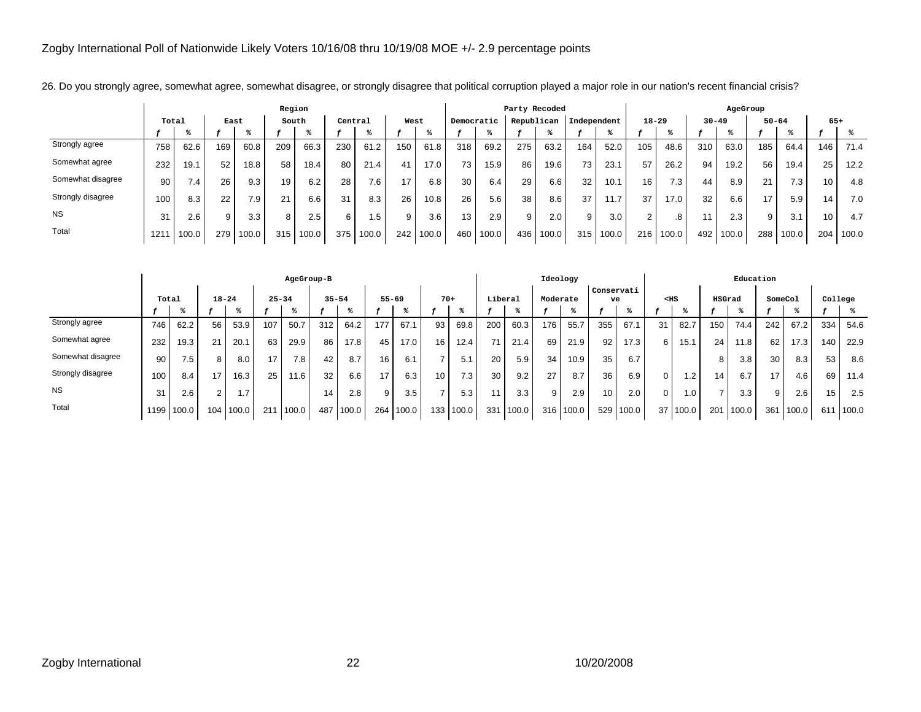|                   |       |                  |      |       | Region |       |         |       |      |       |            |       | Party Recoded |       |             |       |                 |       |           | AgeGroup |                |       |       |       |
|-------------------|-------|------------------|------|-------|--------|-------|---------|-------|------|-------|------------|-------|---------------|-------|-------------|-------|-----------------|-------|-----------|----------|----------------|-------|-------|-------|
|                   | Total |                  | East |       | South  |       | Central |       | West |       | Democratic |       | Republican    |       | Independent |       | $18 - 29$       |       | $30 - 49$ |          | $50 - 64$      |       | $65+$ |       |
|                   |       |                  |      |       |        |       |         |       |      |       |            |       |               |       |             |       |                 |       |           |          |                |       |       |       |
| Strongly agree    | 758   | 62.6             | 169  | 60.8  | 209    | 66.3  | 230     | 61.2  | 150  | 61.8  | 318        | 69.2  | 275           | 63.2  | 164         | 52.0  | 105             | 48.6  | 310       | 63.0     | 185            | 64.4  | 146   | 71.4  |
| Somewhat agree    | 232   | 19.1             | 52   | 18.8  | 58     | 18.4  | 80      | 21.4  | 41   | 17.0  | 73         | 15.9  | 86            | 19.6  | 73          | 23.1  | 57              | 26.2  | 94        | 19.2     | 56             | 19.4  | 25    | 12.2  |
| Somewhat disagree | 90    | 7.4 <sub>1</sub> | 26   | 9.3   | 19     | 6.2   | 28      | 7.6   | 17   | 6.8   | 30         | 6.4   | 29            | 6.6   | 32          | 10.1  | 16 <sub>1</sub> | 7.3   | 44        | 8.9      | 21             | 7.3   | 10    | 4.8   |
| Strongly disagree | 100   | 8.3              | 22   | 7.9   | 21     | 6.6   | 31      | 8.3   | 26   | 10.8  | 26         | 5.6   | 38            | 8.6   | 37          | 11.7  | 37              | 17.0  | 32        | 6.6      | $\overline{ }$ | 5.9   | 14    | 7.0   |
| <b>NS</b>         | 31    | 2.6              | 9    | 3.3   | 8      | 2.5   | 6       | .5    |      | 3.6   | 13         | 2.9   | 9             | 2.0   | 9           | 3.0   | 2               | .8    |           | 2.3      | 9              | 3.1   | 10    | 4.7   |
| Total             | 121   | 100.0            | 279  | 100.0 | 315    | 100.0 | 375     | 100.0 | 242  | 100.0 | 460        | 100.0 | 436           | 100.0 | 315         | 100.0 | 216             | 100.0 | 492       | 100.0    | 288            | 100.0 | 204   | 100.0 |

26. Do you strongly agree, somewhat agree, somewhat disagree, or strongly disagree that political corruption played a major role in our nation's recent financial crisis?

|                   |       |            |           |               |           | AgeGroup-B |     |           |                 |       |                 |       |         |       | Ideology |       |                  |       |              |                |                | Education |         |       |         |       |
|-------------------|-------|------------|-----------|---------------|-----------|------------|-----|-----------|-----------------|-------|-----------------|-------|---------|-------|----------|-------|------------------|-------|--------------|----------------|----------------|-----------|---------|-------|---------|-------|
|                   | Total |            | $18 - 24$ |               | $25 - 34$ |            |     | $35 - 54$ | $55 - 69$       |       | $70+$           |       | Liberal |       | Moderate |       | Conservati<br>ve |       | $<$ HS       |                | HSGrad         |           | SomeCol |       | College |       |
|                   |       |            |           |               |           |            |     |           |                 |       |                 |       |         |       |          |       |                  |       |              |                |                |           |         |       |         |       |
| Strongly agree    | 746   | 62.2       | 56        | 53.9          | 107       | 50.7       | 312 | 64.2      | 177             | 67.1  | 93              | 69.8  | 200     | 60.3  | 176      | 55.7  | 355              | 67.1  | 31           | 82.7           | 150            | 74.4      | 242     | 67.2  | 334     | 54.6  |
| Somewhat agree    | 232   | 19.3       | 21        | 20.1          | 63        | 29.9       | 86  | 17.8      | 45              | 17.0  | 16 <sub>1</sub> | 12.4  | 71      | 21.4  | 69       | 21.9  | 92               | 17.3  | 6            | 15.1           | 24             | 11.8      | 62      | 17.3  | 140     | 22.9  |
| Somewhat disagree | 90    | 7.5        | 8         | 8.0           | 17        | 7.8        | 42  | 8.7       | 16 <sub>1</sub> | 6.1   | -               | 5.1   | 20      | 5.9   | 34       | 10.9  | 35               | 6.7   |              |                | 8              | 3.8       | 30      | 8.3   | 53      | 8.6   |
| Strongly disagree | 100   | 8.4        | 17        | 16.3          | 25        | 11.6       | 32  | 6.6       | 17 <sub>1</sub> | 6.3   | 10.             | 7.3   | 30      | 9.2   | 27       | 8.7   | 36               | 6.9   | $\mathbf{0}$ | $\overline{2}$ | 14             | 6.7       | 17      | 4.6   | 69      | 11.4  |
| <b>NS</b>         | 31    | 2.6        | $\sim$    | 1.7           |           |            | 14  | 2.8       | 9               | 3.5   | $\rightarrow$   | 5.3   |         | 3.3   | 9        | 2.9   | 10               | 2.0   | $\Omega$     | 0.1            | $\overline{ }$ | 3.3       | 9       | 2.6   | 15      | 2.5   |
| Total             |       | 1199 100.0 |           | $104$   100.0 | 211       | 100.0      | 487 | 100.0     | 264             | 100.0 | 133             | 100.0 | 331     | 100.0 | 316      | 100.0 | 529              | 100.0 |              | 37 100.0       | 201            | 100.0     | 361     | 100.0 | 611     | 100.0 |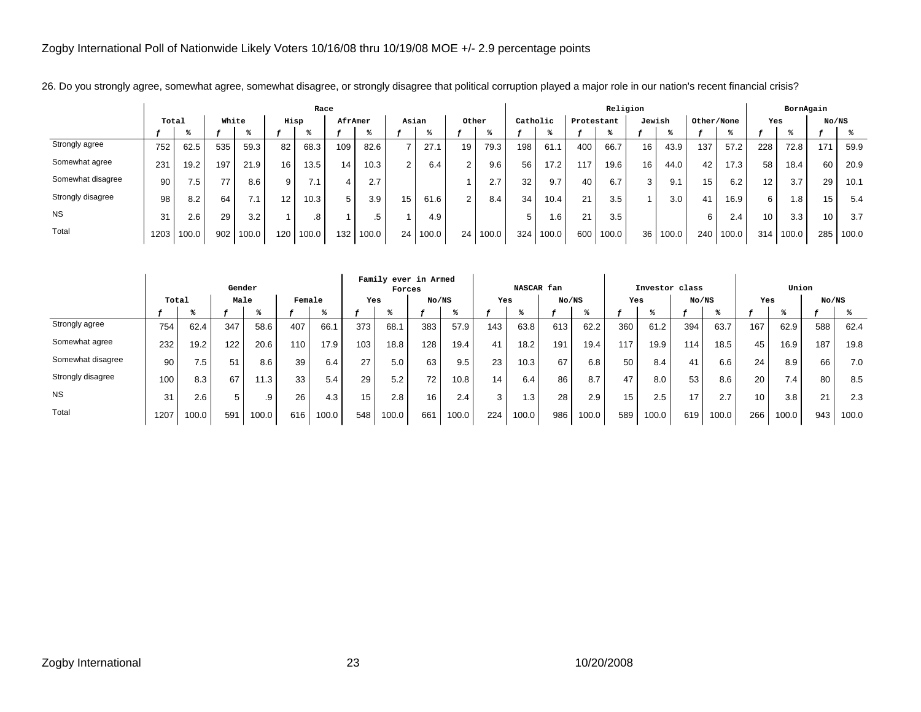|                   |       |                  |       |           |                   | Race  |         |       |                 |       |       |       |          |       |            | Religion |                 |       |            |       |                 | BornAgain |                 |       |
|-------------------|-------|------------------|-------|-----------|-------------------|-------|---------|-------|-----------------|-------|-------|-------|----------|-------|------------|----------|-----------------|-------|------------|-------|-----------------|-----------|-----------------|-------|
|                   | Total |                  | White |           |                   | Hisp  | AfrAmer |       |                 | Asian | Other |       | Catholic |       | Protestant |          | Jewish          |       | Other/None |       | Yes             |           | No/NS           |       |
|                   |       |                  |       |           |                   |       |         |       |                 |       |       |       |          |       |            |          |                 |       |            |       |                 |           |                 |       |
| Strongly agree    | 752   | 62.5             | 535   | 59.3      | 82                | 68.3  | 109     | 82.6  |                 | 27.1  | 19    | 79.3  | 198      | 61.1  | 400        | 66.7     | 16              | 43.9  | 137        | 57.2  | 228             | 72.8      | 171             | 59.9  |
| Somewhat agree    | 231   | 19.2             | 197   | 21.9      | 16                | 13.5  | 14      | 10.3  | 2               | 6.4   | 2     | 9.6   | 56       | 17.2  | 117        | 19.6     | 16 <sub>1</sub> | 44.0  | 42         | 17.3  | 58              | 18.4      | 60              | 20.9  |
| Somewhat disagree | 90    | 7.5 <sub>1</sub> | 77    | 8.6       | 9                 | 7.1   | 4       | 2.7   |                 |       |       | 2.7   | 32       | 9.7   | 40         | 6.7      | 3               | 9.1   | 15         | 6.2   | 12 <sup>2</sup> | 3.7       | 29              | 10.1  |
| Strongly disagree | 98    | 8.2              | 64    | $\cdot$ 1 | $12 \overline{ }$ | 10.3  | 5       | 3.9   | 15 <sub>1</sub> | 61.6  | 2     | 8.4   | 34       | 10.4  | 21         | 3.5      |                 | 3.0   | 41         | 16.9  | 6               | 1.8       | 15              | 5.4   |
| <b>NS</b>         | 31    | 2.6              | 29    | 3.2       |                   | .8    |         | .b    |                 | 4.9   |       |       | 5        | 1.6   | 21         | 3.5      |                 |       | 6          | 2.4   | 10              | 3.3       | 10 <sup>1</sup> | 3.7   |
| Total             | 1203  | 100.0            | 902   | 100.0     | 120               | 100.0 | 132     | 100.0 | 24              | 100.0 | 24    | 100.0 | 324      | 100.0 | 600        | 100.0    | 36              | 100.0 | 240        | 100.0 | 314             | 100.0     | 285             | 100.0 |

26. Do you strongly agree, somewhat agree, somewhat disagree, or strongly disagree that political corruption played a major role in our nation's recent financial crisis?

|                   |       |       | Gender |       |        |       |     | Family ever in Armed<br>Forces |       |       |     | NASCAR fan |       |       |     |       | Investor class |       |     | Union |       |       |
|-------------------|-------|-------|--------|-------|--------|-------|-----|--------------------------------|-------|-------|-----|------------|-------|-------|-----|-------|----------------|-------|-----|-------|-------|-------|
|                   | Total |       | Male   |       | Female |       | Yes |                                | No/NS |       | Yes |            | No/NS |       | Yes |       | No/NS          |       | Yes |       | No/NS |       |
|                   |       |       |        |       |        |       |     |                                |       |       |     |            |       |       |     |       |                |       |     |       |       |       |
| Strongly agree    | 754   | 62.4  | 347    | 58.6  | 407    | 66.1  | 373 | 68.1                           | 383   | 57.9  | 143 | 63.8       | 613   | 62.2  | 360 | 61.2  | 394            | 63.7  | 167 | 62.9  | 588   | 62.4  |
| Somewhat agree    | 232   | 19.2  | 122    | 20.6  | 110    | 17.9  | 103 | 18.8                           | 128   | 19.4  | 41  | 18.2       | 191   | 19.4  | 117 | 19.9  | 114            | 18.5  | 45  | 16.9  | 187   | 19.8  |
| Somewhat disagree | 90    | 7.5   | 51     | 8.6   | 39     | 6.4   | 27  | 5.0                            | 63    | 9.5   | 23  | 10.3       | 67    | 6.8   | 50  | 8.4   | 41             | 6.6   | 24  | 8.9   | 66    | 7.0   |
| Strongly disagree | 100   | 8.3   | 67     | 11.3  | 33     | 5.4   | 29  | 5.2                            | 72    | 10.8  | 14  | 6.4        | 86    | 8.7   | 47  | 8.0   | 53             | 8.6   | 20  | 7.4   | 80    | 8.5   |
| <b>NS</b>         | 31    | 2.6   | 5      | .9    | 26     | 4.3   | 15  | 2.8                            | 16    | 2.4   | 3   | 1.3        | 28    | 2.9   | 15  | 2.5   | 17             | 2.7   | 10  | 3.8   | 21    | 2.3   |
| Total             | 1207  | 100.0 | 591    | 100.0 | 616    | 100.0 | 548 | 100.0                          | 661   | 100.0 | 224 | 100.0      | 986   | 100.0 | 589 | 100.0 | 619            | 100.0 | 266 | 100.0 | 943   | 100.0 |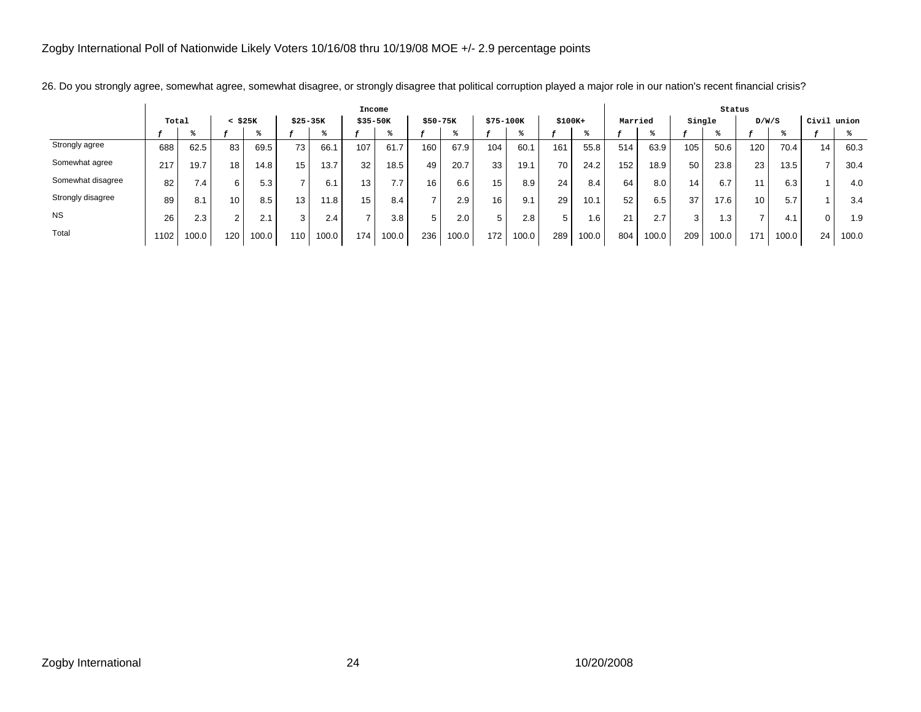|                   |       |       |              |       |             |       | Income          |       |          |       |           |       |          |       |         |       |                 | Status |       |       |       |       |
|-------------------|-------|-------|--------------|-------|-------------|-------|-----------------|-------|----------|-------|-----------|-------|----------|-------|---------|-------|-----------------|--------|-------|-------|-------|-------|
|                   | Total |       | $<$ \$25 $K$ |       | $$25-35K$   |       | $$35-50K$       |       | \$50-75K |       | \$75-100K |       | $$100K+$ |       | Married |       | Single          |        | D/W/S |       | Civil | union |
|                   |       |       |              |       |             |       |                 |       |          |       |           |       |          |       |         |       |                 |        |       |       |       |       |
| Strongly agree    | 688   | 62.5  | 83           | 69.5  | 73          | 66.1  | 107             | 61.7  | 160      | 67.9  | 104       | 60.1  | 161      | 55.8  | 514     | 63.9  | 105             | 50.6   | 120   | 70.4  | 14    | 60.3  |
| Somewhat agree    | 217   | 19.7  | 18           | 14.8  | 15          | 13.7  | 32              | 18.5  | 49       | 20.7  | 33        | 19.1  | 70       | 24.2  | 152     | 18.9  | 50              | 23.8   | 23    | 13.5  |       | 30.4  |
| Somewhat disagree | 82    | 7.4   | 6            | 5.3   |             | 6.1   | 13 <sub>1</sub> | 7.7   | $16$ .   | 6.6   | 15        | 8.9   | 24       | 8.4   | 64      | 8.0   | 14 <sub>1</sub> | 6.7    |       | 6.3   |       | 4.0   |
| Strongly disagree | 89    | 8.1   | 10.          | 8.5   | 13          | 11.8  | 15              | 8.4   |          | 2.9   | 16        | 9.1   | 29       | 10.1  | 52      | 6.5   | 37              | 17.6   | 10    | 5.7   |       | 3.4   |
| <b>NS</b>         | 26    | 2.3   | $\sim$       | 2.1   | $\sim$<br>5 | 2.4   | -               | 3.8   | 5        | 2.0   | 5         | 2.8   | 5        | . . 6 | 21      | 2.7   | $\sim$          | ا 3.   |       | 4.1   |       | 1.9   |
| Total             | 1102  | 100.0 | 120          | 100.0 | 110         | 100.0 | 174.            | 100.0 | 236      | 100.0 | 172       | 100.0 | 289      | 100.0 | 804     | 100.0 | 209             | 100.0  | 171   | 100.0 | 24    | 100.0 |

26. Do you strongly agree, somewhat agree, somewhat disagree, or strongly disagree that political corruption played a major role in our nation's recent financial crisis?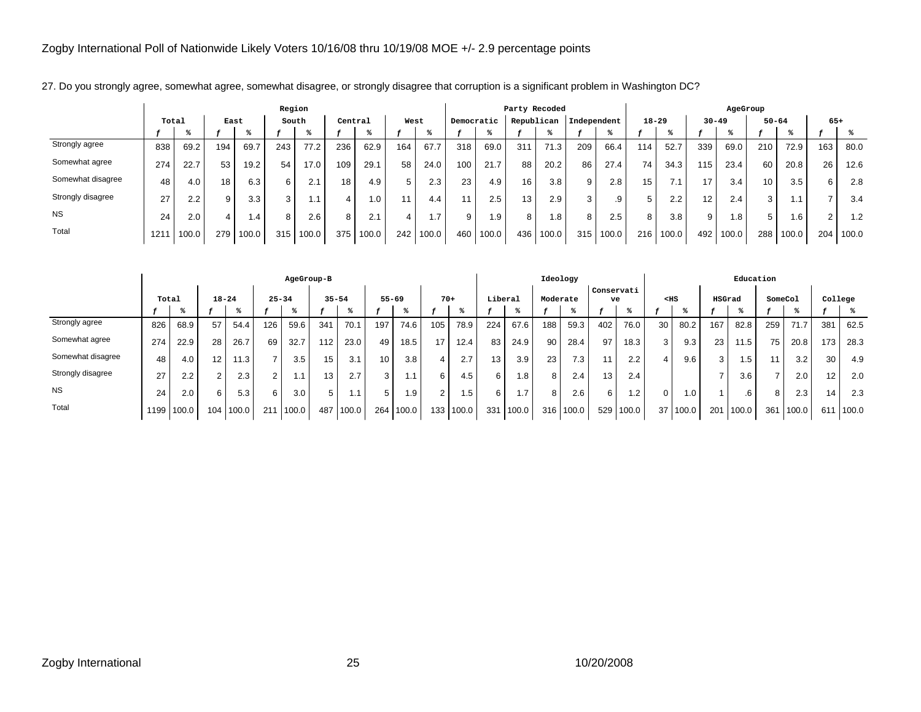|                   |       |       |      |           | Region |       |         |       |      |       |            |       |            | Party Recoded |             |       |                 |           |     | AgeGroup  |                 |           |        |       |
|-------------------|-------|-------|------|-----------|--------|-------|---------|-------|------|-------|------------|-------|------------|---------------|-------------|-------|-----------------|-----------|-----|-----------|-----------------|-----------|--------|-------|
|                   | Total |       | East |           |        | South | Central |       | West |       | Democratic |       | Republican |               | Independent |       |                 | $18 - 29$ |     | $30 - 49$ |                 | $50 - 64$ | $65+$  |       |
|                   |       |       |      |           |        |       |         |       |      |       |            |       |            |               |             |       |                 |           |     |           |                 |           |        |       |
| Strongly agree    | 838   | 69.2  | 194  | 69.7      | 243    | 77.2  | 236     | 62.9  | 164  | 67.7  | 318        | 69.0  | 311        | 71.3          | 209         | 66.4  | 114             | 52.7      | 339 | 69.0      | 210             | 72.9      | 163    | 80.0  |
| Somewhat agree    | 274   | 22.7  | 53   | 19.2      | 54     | 17.0  | 109     | 29.1  | 58   | 24.0  | 100        | 21.7  | 88         | 20.2          | 86          | 27.4  | 74              | 34.3      | 115 | 23.4      | 60              | 20.8      | 26     | 12.6  |
| Somewhat disagree | 48    | 4.0   | 18   | 6.3       | 6      | 2.1   | 18      | 4.9   | 5    | 2.3   | 23         | 4.9   | 16.        | 3.8           | 9           | 2.8   | 15 <sub>1</sub> | 7.1       | 17  | 3.4       | 10 <sup>1</sup> | 3.5       | 6      | 2.8   |
| Strongly disagree | 27    | 2.2   | 9    | 3.3       | 3      | 1.1   | 4       | . 0   |      | 4.4   | 11         | 2.5   | 13.        | 2.9           | 3           | .9    | 5               | 2.2       | 12  | 2.4       | 3               | i.1       |        | 3.4   |
| <b>NS</b>         | 24    | 2.0   |      | $\cdot$ 4 | 8      | 2.6   | 8       |       |      | ۱.7   | 9          | .9    | 8          | 1.8'          | 8           | 2.5   | 8               | 3.8       | 9   | i 8       | 5               | 1.6       | $\sim$ | 1.2   |
| Total             | 121'  | 100.0 | 279  | 100.0     | 315    | 100.0 | 375     | 100.0 | 242  | 100.0 | 460        | 100.0 | 436        | 100.0         | 315         | 100.0 | 216             | 100.0     | 492 | 100.0     | 288             | 100.0     | 204    | 100.0 |

27. Do you strongly agree, somewhat agree, somewhat disagree, or strongly disagree that corruption is a significant problem in Washington DC?

|                   |       |            |           |       |           | AgeGroup-B |                 |       |                 |       |                |           |         |       | Ideology |       |                  |       |          |       |        | Education |                |       |         |       |
|-------------------|-------|------------|-----------|-------|-----------|------------|-----------------|-------|-----------------|-------|----------------|-----------|---------|-------|----------|-------|------------------|-------|----------|-------|--------|-----------|----------------|-------|---------|-------|
|                   | Total |            | $18 - 24$ |       | $25 - 34$ |            | $35 - 54$       |       | $55 - 69$       |       | $70+$          |           | Liberal |       | Moderate |       | Conservati<br>ve |       | $<$ HS   |       | HSGrad |           | SomeCol        |       | College |       |
|                   |       |            |           |       |           |            |                 |       |                 |       |                |           |         |       |          |       |                  |       |          |       |        |           |                |       |         |       |
| Strongly agree    | 826   | 68.9       | 57        | 54.4  | 126       | 59.6       | 341             | 70.1  | 197             | 74.6  | 105            | 78.9      | 224     | 67.6  | 188      | 59.3  | 402              | 76.0  | 30       | 80.2  | 167    | 82.8      | 259            | 71.7  | 381     | 62.5  |
| Somewhat agree    | 274   | 22.9       | 28        | 26.7  | 69        | 32.7       | 112             | 23.0  | 49              | 18.5  | 17             | 12.4      | 83      | 24.9  | 90       | 28.4  | 97               | 18.3  | 3        | 9.3   | 23     | 11.5      | 75             | 20.8  | 173     | 28.3  |
| Somewhat disagree | 48    | 4.0        | 12        | 11.3  |           | 3.5        | 15              | 3.1   | 10 <sup>°</sup> | 3.8   |                | 2.7       | 13      | 3.9   | 23       | 7.3   | 11               | 2.2   |          | 9.6   | 3      | 1.5       | 11             | 3.2   | 30      | 4.9   |
| Strongly disagree | 27    | 2.2        | 2         | 2.3   | 2         |            | 13 <sub>1</sub> | 2.7   | 3 <sub>1</sub>  | l.1   | 6              | 4.5       | 6       | 1.8   | 8        | 2.4   | 13 <sub>1</sub>  | 2.4   |          |       | -      | 3.6       | $\overline{7}$ | 2.0   | 12      | 2.0   |
| <b>NS</b>         | 24    | 2.0        | 6         | 5.3   | 6         | 3.0        | 5               | ، 1   | 5               | 1.9   | $\overline{2}$ | 1.5       | 6       | 1.7   | 8        | 2.6   | 6                | 1.2   | $\Omega$ | 1.0.  |        | .6        | 8              | 2.3   | 14      | 2.3   |
| Total             |       | 1199 100.0 | 104       | 100.0 | 211       | 100.0      | 487             | 100.0 | 264             | 100.0 |                | 133 100.0 | 331     | 100.0 | 316      | 100.0 | 529              | 100.0 | 37 I     | 100.0 | 201    | 100.0     | 361            | 100.0 | 611     | 100.0 |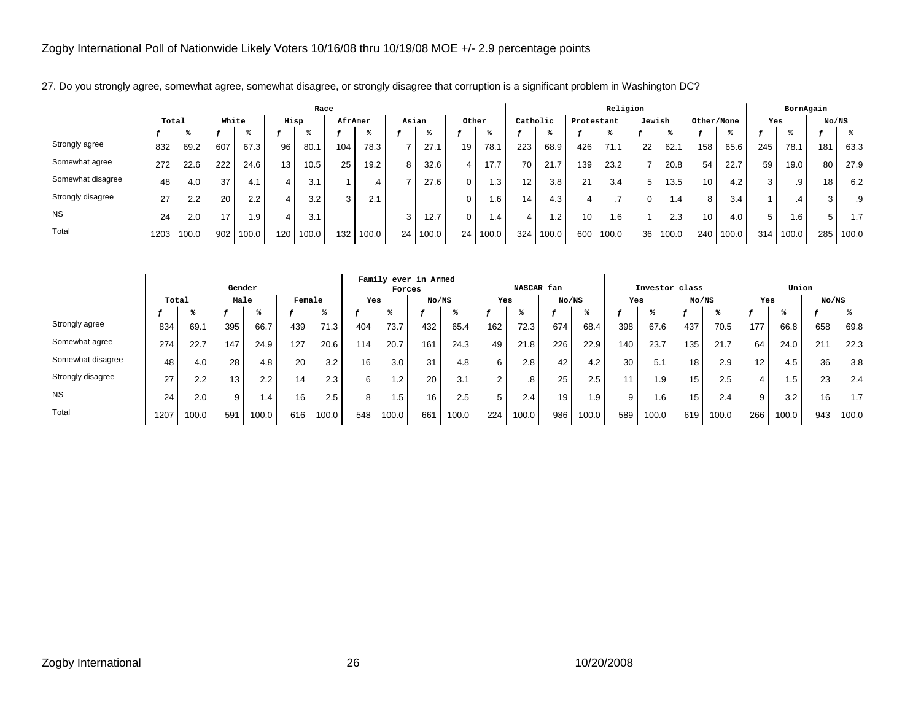|                   |       |       |       |                  |      | Race  |         |       |        |       |       |        |                 |           |            | Religion              |        |       |            |       |     | BornAgain |       |       |
|-------------------|-------|-------|-------|------------------|------|-------|---------|-------|--------|-------|-------|--------|-----------------|-----------|------------|-----------------------|--------|-------|------------|-------|-----|-----------|-------|-------|
|                   | Total |       | White |                  | Hisp |       | AfrAmer |       | Asian  |       | Other |        | Catholic        |           | Protestant |                       | Jewish |       | Other/None |       | Yes |           | No/NS |       |
|                   |       |       |       |                  |      |       |         |       |        |       |       |        |                 |           |            |                       |        |       |            |       |     |           |       |       |
| Strongly agree    | 832   | 69.2  | 607   | 67.3             | 96   | 80.1  | 104     | 78.3  |        | 27.1  | 19    | 78.    | 223             | 68.9      | 426        | 71.1                  | 22     | 62.1  | 158        | 65.6  | 245 | 78.1      | 181   | 63.3  |
| Somewhat agree    | 272   | 22.6  | 222   | 24.6             | 13.  | 10.5  | 25      | 19.2  | 8      | 32.6  | 4     | 17.7   | 70              | 21.7      | 139        | 23.2                  |        | 20.8  | 54         | 22.7  | 59  | 19.0      | 80    | 27.9  |
| Somewhat disagree | 48    | 4.0   | 37    | 4.1              |      | 3.1   |         | .4    |        | 27.6  | 0     | . 3    | 12 <sub>1</sub> | 3.8       | 21         | 3.4                   | 5 I    | 13.5  | 10         | 4.2   | 3   | .9        | 18    | 6.2   |
| Strongly disagree | 27    | 2.2   | 20    | 2.2 <sub>1</sub> |      | 3.2   | 3       | 2.1   |        |       | 0     | .6     | 14 <sub>1</sub> | 4.3       | 4          | $\overline{ }$<br>. . | 0      | 1.4   | 8          | 3.4   |     | .4        | ⌒     | .9    |
| <b>NS</b>         | 24    | 2.0   | 17    | 1.9              |      | 3.1   |         |       | $\sim$ | 12.7  | 0     | . .4 ' | 4               | $\cdot$ 2 | 10         | ا 6.،                 |        | 2.3   | 10         | 4.0   | 5   | 0.1       | 5     | 1.7   |
| Total             | 1203  | 100.0 | 902   | 100.0            | 120  | 100.0 | 132     | 100.0 | 24     | 100.0 | 24    | 100.0  | 324             | 100.0     | 600        | 100.0                 | 36     | 100.0 | 240        | 100.0 | 314 | 100.0     | 285   | 100.0 |

27. Do you strongly agree, somewhat agree, somewhat disagree, or strongly disagree that corruption is a significant problem in Washington DC?

|                   |       |       | Gender |       |        |       |                 | Family ever in Armed<br>Forces |       |       |     | NASCAR fan |       |       |     | Investor class |       |       |                 | Union  |       |       |
|-------------------|-------|-------|--------|-------|--------|-------|-----------------|--------------------------------|-------|-------|-----|------------|-------|-------|-----|----------------|-------|-------|-----------------|--------|-------|-------|
|                   | Total |       | Male   |       | Female |       | Yes             |                                | No/NS |       | Yes |            | No/NS |       | Yes |                | No/NS |       | Yes             |        | No/NS |       |
|                   |       | - 25  |        | - 25  |        | - 25  |                 |                                |       |       |     |            |       |       |     |                |       |       |                 | - 25   |       |       |
| Strongly agree    | 834   | 69.1  | 395    | 66.7  | 439    | 71.3  | 404             | 73.7                           | 432   | 65.4  | 162 | 72.3       | 674   | 68.4  | 398 | 67.6           | 437   | 70.5  | 177             | 66.8   | 658   | 69.8  |
| Somewhat agree    | 274   | 22.7  | 147    | 24.9  | 127    | 20.6  | 114             | 20.7                           | 161   | 24.3  | 49  | 21.8       | 226   | 22.9  | 140 | 23.7           | 135   | 21.7  | 64              | 24.0   | 211   | 22.3  |
| Somewhat disagree | 48    | 4.0   | 28     | 4.8   | 20     | 3.2   | 16 <sub>1</sub> | 3.0                            | 31    | 4.8   | 6   | 2.8        | 42    | 4.2   | 30  | 5.1            | 18    | 2.9   | 12 <sup>2</sup> | 4.5    | 36    | 3.8   |
| Strongly disagree | 27    | 2.2   | 13     | 2.2   | 14     | 2.3   | 6               | 1.2                            | 20    | 3.1   |     | .8         | 25    | 2.5   |     | 1.9            | 15    | 2.5   | 4               | ا 5. ا | 23    | 2.4   |
| <b>NS</b>         | 24    | 2.0   | 9      | 1.4   | 16     | 2.5   | 8               | 1.5                            | 16    | 2.5   | 5   | 2.4        | 19    | 1.9   | 9   | 1.6            | 15    | 2.4   | 9               | 3.2    | 16    | 1.7   |
| Total             | 1207  | 100.0 | 591    | 100.0 | 616    | 100.0 | 548             | 100.0                          | 661   | 100.0 | 224 | 100.0      | 986   | 100.0 | 589 | 100.0          | 619   | 100.0 | 266             | 100.0  | 943   | 100.0 |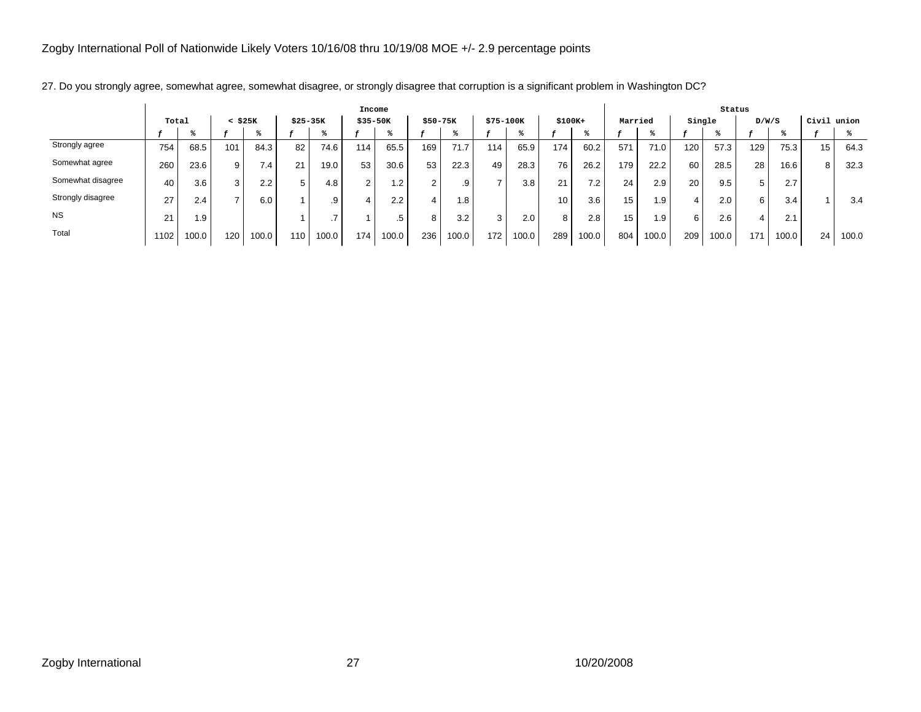|                   |       |       |              |       |           |                   | Income      |       |           |       |           |       |          |       |         |       |        | Status |       |       |       |       |
|-------------------|-------|-------|--------------|-------|-----------|-------------------|-------------|-------|-----------|-------|-----------|-------|----------|-------|---------|-------|--------|--------|-------|-------|-------|-------|
|                   | Total |       | $<$ \$25 $K$ |       | $$25-35K$ |                   | $$35 - 50K$ |       | $$50-75K$ |       | \$75-100K |       | $$100K+$ |       | Married |       | Single |        | D/W/S |       | Civil | union |
|                   |       |       |              |       |           |                   |             |       |           |       |           |       |          |       |         |       |        |        |       |       |       |       |
| Strongly agree    | 754   | 68.5  | 101          | 84.3  | 82        | 74.6              | 114.        | 65.5  | 169       | 71.7  | 114       | 65.9  | 174      | 60.2  | 571     | 71.0  | 120.   | 57.3   | 129   | 75.3  | 15    | 64.3  |
| Somewhat agree    | 260   | 23.6  | 9            | 7.4   | 21        | 19.0 <sub>1</sub> | 53          | 30.6  | 53        | 22.3  | 49        | 28.3  | 76       | 26.2  | 179     | 22.2  | 60     | 28.5   | 28    | 16.6  | 8     | 32.3  |
| Somewhat disagree | 40    | 3.6   | 3            | 2.2   | 5         | 4.8               | $\sim$      | 1.2   | $\sim$    | .9    |           | 3.8   | 21       | 7.2   | 24      | 2.9   | 20     | 9.5    | 5     | 2.7   |       |       |
| Strongly disagree | 27    | 2.4   |              | 6.0   |           | .9                | 4           | 2.2   | 4         | 1.8   |           |       | 10       | 3.6   | 15      | 1.9   | 4      | 2.0    | 6     | 3.4   |       | 3.4   |
| <b>NS</b>         | 21    | 1.9   |              |       |           |                   |             | .5    | 8         | 3.2   | 3         | 2.0   | 8        | 2.8   | 15      | 1.9   | 6      | 2.6    | 4     | 2.1   |       |       |
| Total             | 1102  | 100.0 | 120          | 100.0 | 110       | 100.0             | 174.        | 100.0 | 236       | 100.0 | 172       | 100.0 | 289      | 100.0 | 804     | 100.0 | 209    | 100.0  | 171   | 100.0 | 24    | 100.0 |

27. Do you strongly agree, somewhat agree, somewhat disagree, or strongly disagree that corruption is a significant problem in Washington DC?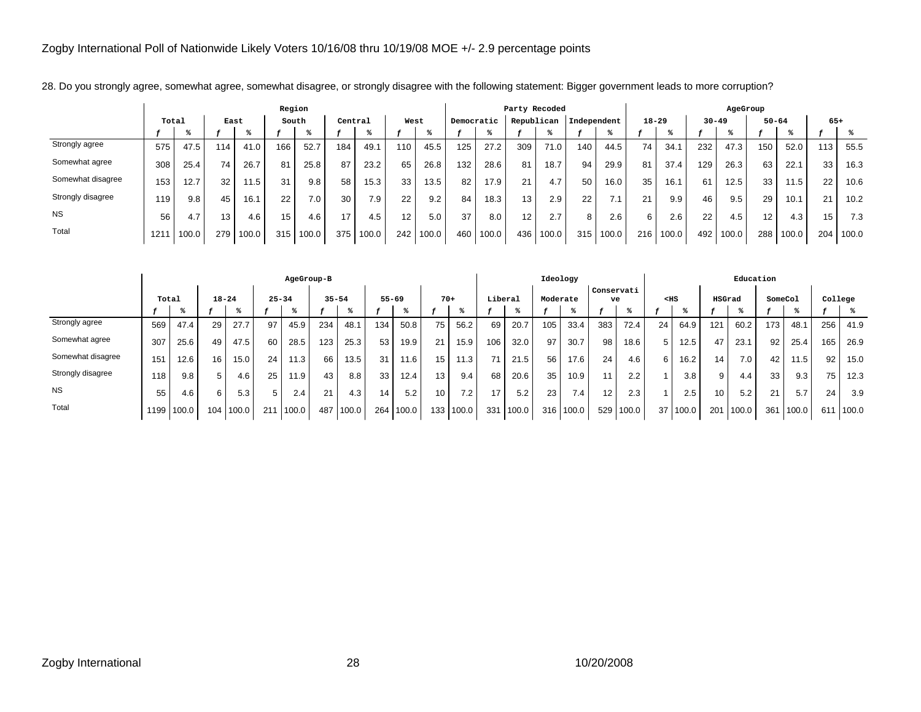|                   |       |       |      |       | Region          |       |         |       |      |       |            |                   | Party Recoded   |       |             |       |           |       |           | AgeGroup |           |       |                 |       |
|-------------------|-------|-------|------|-------|-----------------|-------|---------|-------|------|-------|------------|-------------------|-----------------|-------|-------------|-------|-----------|-------|-----------|----------|-----------|-------|-----------------|-------|
|                   | Total |       | East |       | South           |       | Central |       | West |       | Democratic |                   | Republican      |       | Independent |       | $18 - 29$ |       | $30 - 49$ |          | $50 - 64$ |       | $65+$           |       |
|                   |       |       |      |       |                 |       |         |       |      |       |            |                   |                 |       |             |       |           |       |           |          |           |       |                 |       |
| Strongly agree    | 575   | 47.5  | 114  | 41.0  | 166             | 52.7  | 184     | 49.1  | 110  | 45.5  | 125        | 27.2              | 309             | 71.0  | 140         | 44.5  | 74        | 34.7  | 232       | 47.3     | 150       | 52.0  | 113             | 55.5  |
| Somewhat agree    | 308   | 25.4  | 74   | 26.7  | 81              | 25.8  | 87      | 23.2  | 65   | 26.8  | 132        | 28.6              | 81              | 18.7  | 94          | 29.9  | 81        | 37.4  | 129       | 26.3     | 63        | 22.1  | 33              | 16.3  |
| Somewhat disagree | 153   | 12.7  | 32   | 11.5  | 31              | 9.8   | 58      | 15.3  | 33   | 13.5  | 82         | 17.9              | 21              | 4.7   | 50          | 16.0  | 35        | 16.7  | 61        | 12.5     | 33        | 11.5  | 22 <sub>1</sub> | 10.6  |
| Strongly disagree | 119   | 9.8   | 45   | 16.1  | 22              | 7.0   | 30      | 7.9   | 22   | 9.2   | 84         | 18.3 <sub>1</sub> | 13 <sub>1</sub> | 2.9   | 22          | 7.1   | 21        | 9.9   | 46        | 9.5      | 29        | 10.1  | 21              | 10.2  |
| <b>NS</b>         | 56    | 4.7   | 13   | 4.6   | 15 <sub>1</sub> | 4.6   | 17      | 4.5   | 12   | 5.0   | 37         | 8.0               | 12 <sup>°</sup> | 2.7   | 8           | 2.6   | 6.        | 2.6   | 22        | 4.5      | 12.       | 4.3   | 15              | 7.3   |
| Total             | 1211  | 100.0 | 279  | 100.0 | 315             | 100.0 | 375     | 100.0 | 242  | 100.0 | 460        | 100.0             | 436             | 100.0 | 315         | 100.0 | 216       | 100.0 | 492       | 100.0    | 288       | 100.0 | 2041            | 100.0 |

28. Do you strongly agree, somewhat agree, somewhat disagree, or strongly disagree with the following statement: Bigger government leads to more corruption?

|                   |       |            |           |       |           | AgeGroup-B |     |           |                 |       |                 |       |         |       | Ideology |                  |                  |       |        |          |        | Education |         |       |         |       |
|-------------------|-------|------------|-----------|-------|-----------|------------|-----|-----------|-----------------|-------|-----------------|-------|---------|-------|----------|------------------|------------------|-------|--------|----------|--------|-----------|---------|-------|---------|-------|
|                   | Total |            | $18 - 24$ |       | $25 - 34$ |            |     | $35 - 54$ | $55 - 69$       |       | $70+$           |       | Liberal |       | Moderate |                  | Conservati<br>ve |       | $<$ HS |          | HSGrad |           | SomeCol |       | College |       |
|                   |       |            |           |       |           |            |     |           |                 |       |                 |       |         |       |          |                  |                  |       |        |          |        |           |         |       |         |       |
| Strongly agree    | 569   | 47.4       | 29        | 27.7  | 97        | 45.9       | 234 | 48.1      | 134             | 50.8  | 75              | 56.2  | 69      | 20.7  | 105      | 33.4             | 383              | 72.4  | 24     | 64.9     | 121    | 60.2      | 173     | 48.1  | 256     | 41.9  |
| Somewhat agree    | 307   | 25.6       | 49        | 47.5  | 60        | 28.5       | 123 | 25.3      | 53              | 19.9  | 21              | 15.9  | 106     | 32.0  | 97       | 30.7             | 98               | 18.6  | 5      | 12.5     | 47     | 23.1      | 92      | 25.4  | 165     | 26.9  |
| Somewhat disagree | 151   | 12.6       | 16        | 15.0  | 24        | 11.3       | 66  | 13.5      | 31              | 11.6  | 15 <sub>1</sub> | 11.3  |         | 21.5  | 56       | 17.6             | 24               | 4.6   | 6      | 16.2     | 14     | 7.0       | 42      | 11.5  | 92      | 15.0  |
| Strongly disagree | 118   | 9.8        | 5         | 4.6   | 25        | 11.9       | 43  | 8.8       | 33              | 12.4  | 13 <sub>1</sub> | 9.4   | 68      | 20.6  | 35       | 10.9             | 11               | 2.2   |        | 3.8      | 9      | 4.4       | 33      | 9.3   | 75      | 12.3  |
| <b>NS</b>         | 55    | 4.6        | 6         | 5.3   | 5         | 2.4        | 21  | 4.3       | 14 <sub>1</sub> | 5.2   | 10 <sup>°</sup> | 7.2   | 17      | 5.2   | 23       | 7.4 <sub>1</sub> | 12               | 2.3   |        | 2.5      | 10     | 5.2       | 21      | 5.7   | 24      | 3.9   |
| Total             |       | 1199 100.0 | 104       | 100.0 | 211       | 100.0      | 487 | 100.0     | 264             | 100.0 | 133             | 100.0 | 331     | 100.0 | 316      | 100.0            | 529              | 100.0 |        | 37 100.0 | 201    | 100.0     | 361     | 100.0 | 611     | 100.0 |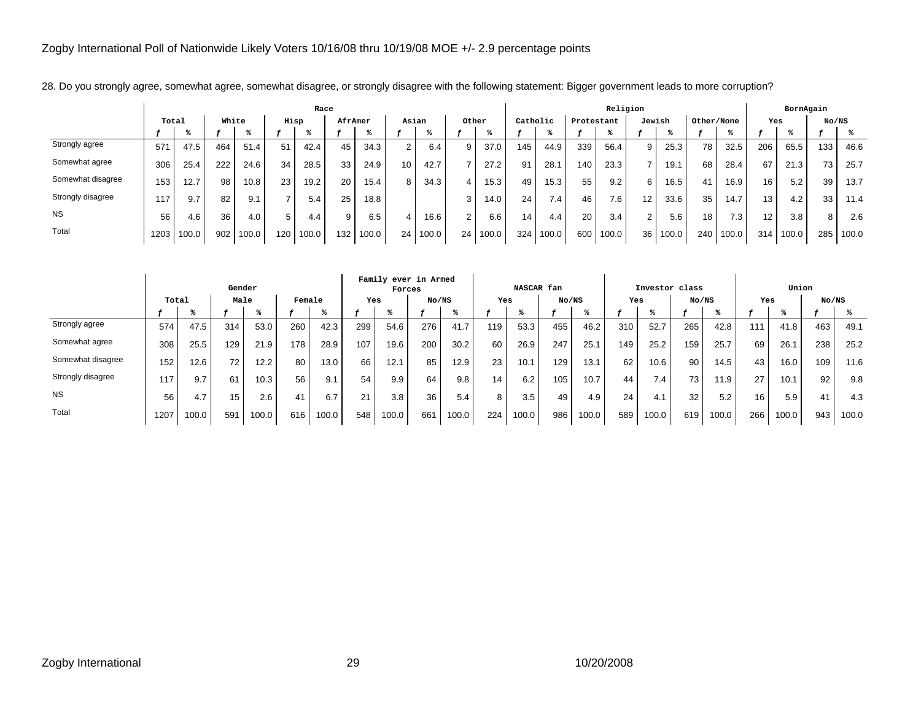|                   |       |       |       |       |      | Race  |         |       |       |       |                |       |          |       |            | Religion |                  |                   |            |       |                 | BornAgain |                 |       |
|-------------------|-------|-------|-------|-------|------|-------|---------|-------|-------|-------|----------------|-------|----------|-------|------------|----------|------------------|-------------------|------------|-------|-----------------|-----------|-----------------|-------|
|                   | Total |       | White |       | Hisp |       | AfrAmer |       | Asian |       | Other          |       | Catholic |       | Protestant |          | Jewish           |                   | Other/None |       | Yes             |           | No/NS           |       |
|                   |       |       |       |       |      |       |         |       |       |       |                |       |          |       |            |          |                  |                   |            |       |                 |           |                 |       |
| Strongly agree    | 571   | 47.5  | 464   | 51.4  | 51   | 42.4  | 45      | 34.3  | 2     | 6.4   | 9              | 37.0  | 145      | 44.9  | 339        | 56.4     | 9                | 25.3              | 78         | 32.5  | 206             | 65.5      | 133             | 46.6  |
| Somewhat agree    | 306   | 25.4  | 222   | 24.6  | 34   | 28.5  | 33      | 24.9  | 10.   | 42.7  |                | 27.2  | 91       | 28.1  | 140        | 23.3     |                  | 19.1              | 68         | 28.4  | 67              | 21.3      | 73 <sub>1</sub> | 25.7  |
| Somewhat disagree | 153   | 12.7  | 98    | 10.8  | 23   | 19.2  | 20      | 15.4  | 8     | 34.3  | 4              | 15.3  | 49       | 15.3  | 55         | 9.2      | 6                | 16.5 <sub>1</sub> | 41         | 16.9  | 16              | 5.2       | 39              | 13.7  |
| Strongly disagree | 117   | 9.7   | 82    | 9.1   |      | 5.4   | 25      | 18.8  |       |       | 3              | 14.0  | 24       | 7.4   | 46         | $7.6$ ,  | 12 <sup>12</sup> | 33.6              | 35         | 14.7  | 13              | 4.2       | 33              | 11.4  |
| <b>NS</b>         | 56    | 4.6   | 36    | 4.0   | 5    | 4.4   | 9       | 6.5   | 4     | 16.6  | $\overline{2}$ | 6.6   | 14.      | 4.4   | 20         | 3.4      | $\overline{2}$   | 5.6               | 18         | 7.3   | 12 <sup>2</sup> | 3.8       | 8               | 2.6   |
| Total             | 1203  | 100.0 | 902   | 100.0 | 120  | 100.0 | 132     | 100.0 | 24    | 100.0 | 24             | 100.0 | 324      | 100.0 | 600        | 100.0    | 36               | 100.0             | 240        | 100.0 | 314             | 100.0     | 285             | 100.0 |

28. Do you strongly agree, somewhat agree, somewhat disagree, or strongly disagree with the following statement: Bigger government leads to more corruption?

|                   |       |       | Gender |       |        |       |     | Family ever in Armed<br>Forces |       |       |     | NASCAR fan |       |       |     |       | Investor class |       |     | Union |       |       |
|-------------------|-------|-------|--------|-------|--------|-------|-----|--------------------------------|-------|-------|-----|------------|-------|-------|-----|-------|----------------|-------|-----|-------|-------|-------|
|                   | Total |       | Male   |       | Female |       | Yes |                                | No/NS |       | Yes |            | No/NS |       | Yes |       | No/NS          |       | Yes |       | No/NS |       |
|                   |       |       |        |       |        |       |     |                                |       |       |     |            |       |       |     |       |                |       |     |       |       |       |
| Strongly agree    | 574   | 47.5  | 314    | 53.0  | 260    | 42.3  | 299 | 54.6                           | 276   | 41.7  | 119 | 53.3       | 455   | 46.2  | 310 | 52.7  | 265            | 42.8  | 111 | 41.8  | 463   | 49.1  |
| Somewhat agree    | 308   | 25.5  | 129    | 21.9  | 178    | 28.9  | 107 | 19.6                           | 200   | 30.2  | 60  | 26.9       | 247   | 25.1  | 149 | 25.2  | 159            | 25.7  | 69  | 26.7  | 238   | 25.2  |
| Somewhat disagree | 152   | 12.6  | 72     | 12.2  | 80     | 13.0  | 66  | 12.1                           | 85    | 12.9  | 23  | 10.1       | 129   | 13.1  | 62  | 10.6  | 90             | 14.5  | 43  | 16.0  | 109   | 11.6  |
| Strongly disagree | 117   | 9.7   | 61     | 10.3  | 56     | 9.1   | 54  | 9.9                            | 64    | 9.8   | 14  | 6.2        | 105   | 10.7  | 44  | 7.4   | 73.            | 11.9  | 27  | 10.1  | 92    | 9.8   |
| <b>NS</b>         | 56    | 4.7   | 15     | 2.6   | 41     | 6.7   | 21  | 3.8                            | 36    | 5.4   | 8   | 3.5        | 49    | 4.9   | 24  | 4.1   | 32             | 5.2   | 16  | 5.9   | 41    | 4.3   |
| Total             | 1207  | 100.0 | 591    | 100.0 | 616    | 100.0 | 548 | 100.0                          | 661   | 100.0 | 224 | 100.0      | 986   | 100.0 | 589 | 100.0 | 619            | 100.0 | 266 | 100.0 | 943   | 100.0 |